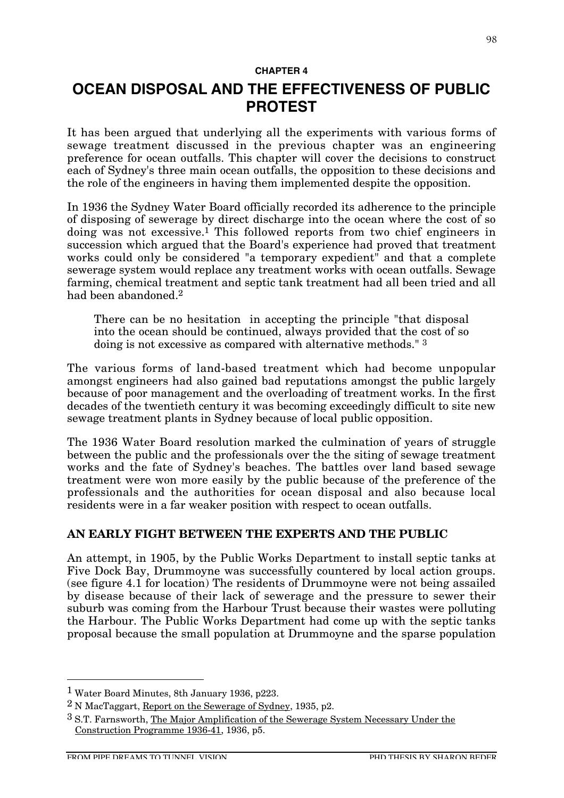#### **CHAPTER 4**

# **OCEAN DISPOSAL AND THE EFFECTIVENESS OF PUBLIC PROTEST**

It has been argued that underlying all the experiments with various forms of sewage treatment discussed in the previous chapter was an engineering preference for ocean outfalls. This chapter will cover the decisions to construct each of Sydney's three main ocean outfalls, the opposition to these decisions and the role of the engineers in having them implemented despite the opposition.

In 1936 the Sydney Water Board officially recorded its adherence to the principle of disposing of sewerage by direct discharge into the ocean where the cost of so doing was not excessive.1 This followed reports from two chief engineers in succession which argued that the Board's experience had proved that treatment works could only be considered "a temporary expedient" and that a complete sewerage system would replace any treatment works with ocean outfalls. Sewage farming, chemical treatment and septic tank treatment had all been tried and all had been abandoned.2

There can be no hesitation in accepting the principle "that disposal into the ocean should be continued, always provided that the cost of so doing is not excessive as compared with alternative methods." 3

The various forms of land-based treatment which had become unpopular amongst engineers had also gained bad reputations amongst the public largely because of poor management and the overloading of treatment works. In the first decades of the twentieth century it was becoming exceedingly difficult to site new sewage treatment plants in Sydney because of local public opposition.

The 1936 Water Board resolution marked the culmination of years of struggle between the public and the professionals over the the siting of sewage treatment works and the fate of Sydney's beaches. The battles over land based sewage treatment were won more easily by the public because of the preference of the professionals and the authorities for ocean disposal and also because local residents were in a far weaker position with respect to ocean outfalls.

## **AN EARLY FIGHT BETWEEN THE EXPERTS AND THE PUBLIC**

An attempt, in 1905, by the Public Works Department to install septic tanks at Five Dock Bay, Drummoyne was successfully countered by local action groups. (see figure 4.1 for location) The residents of Drummoyne were not being assailed by disease because of their lack of sewerage and the pressure to sewer their suburb was coming from the Harbour Trust because their wastes were polluting the Harbour. The Public Works Department had come up with the septic tanks proposal because the small population at Drummoyne and the sparse population

 <sup>1</sup> Water Board Minutes, 8th January 1936, p223.

<sup>2</sup> N MacTaggart, Report on the Sewerage of Sydney, 1935, p2.

<sup>3</sup> S.T. Farnsworth, The Major Amplification of the Sewerage System Necessary Under the Construction Programme 1936-41, 1936, p5.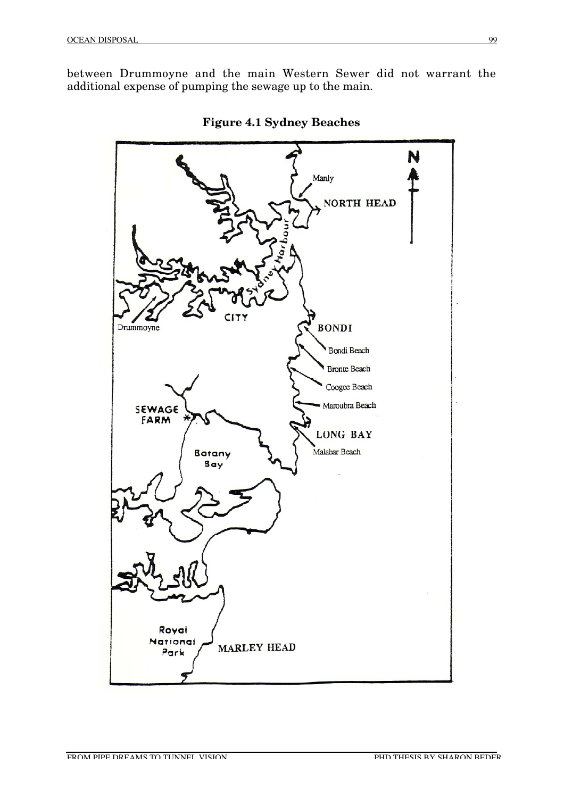between Drummoyne and the main Western Sewer did not warrant the additional expense of pumping the sewage up to the main.



**Figure 4.1 Sydney Beaches**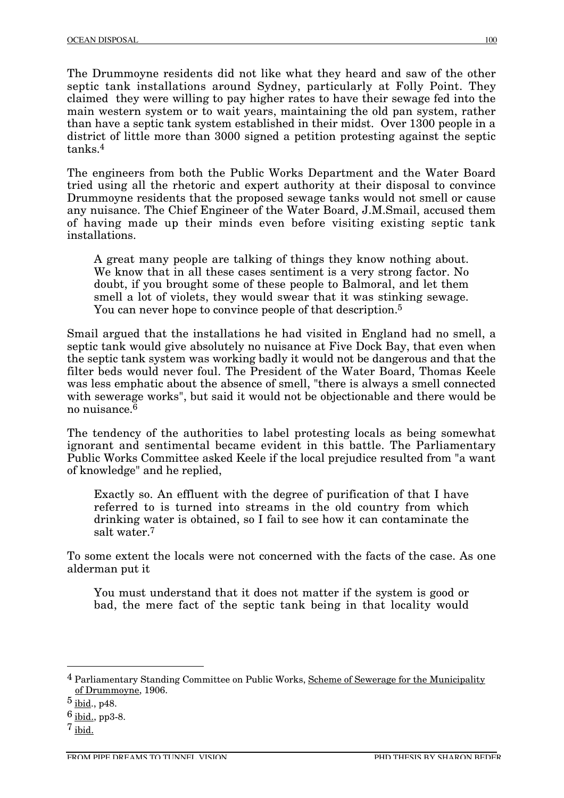The Drummoyne residents did not like what they heard and saw of the other septic tank installations around Sydney, particularly at Folly Point. They claimed they were willing to pay higher rates to have their sewage fed into the main western system or to wait years, maintaining the old pan system, rather than have a septic tank system established in their midst. Over 1300 people in a district of little more than 3000 signed a petition protesting against the septic tanks.4

The engineers from both the Public Works Department and the Water Board tried using all the rhetoric and expert authority at their disposal to convince Drummoyne residents that the proposed sewage tanks would not smell or cause any nuisance. The Chief Engineer of the Water Board, J.M.Smail, accused them of having made up their minds even before visiting existing septic tank installations.

A great many people are talking of things they know nothing about. We know that in all these cases sentiment is a very strong factor. No doubt, if you brought some of these people to Balmoral, and let them smell a lot of violets, they would swear that it was stinking sewage. You can never hope to convince people of that description.5

Smail argued that the installations he had visited in England had no smell, a septic tank would give absolutely no nuisance at Five Dock Bay, that even when the septic tank system was working badly it would not be dangerous and that the filter beds would never foul. The President of the Water Board, Thomas Keele was less emphatic about the absence of smell, "there is always a smell connected with sewerage works", but said it would not be objectionable and there would be no nuisance.6

The tendency of the authorities to label protesting locals as being somewhat ignorant and sentimental became evident in this battle. The Parliamentary Public Works Committee asked Keele if the local prejudice resulted from "a want of knowledge" and he replied,

Exactly so. An effluent with the degree of purification of that I have referred to is turned into streams in the old country from which drinking water is obtained, so I fail to see how it can contaminate the salt water.7

To some extent the locals were not concerned with the facts of the case. As one alderman put it

You must understand that it does not matter if the system is good or bad, the mere fact of the septic tank being in that locality would

<sup>&</sup>lt;sup>4</sup> Parliamentary Standing Committee on Public Works, Scheme of Sewerage for the Municipality of Drummoyne, 1906.

 $5$  ibid., p48.

 $6$  ibid., pp3-8.

<sup>7</sup> ibid.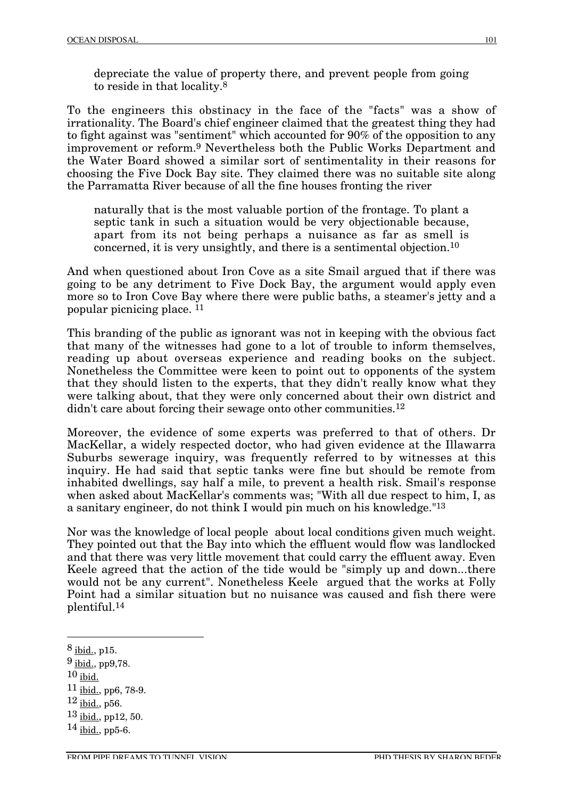depreciate the value of property there, and prevent people from going to reside in that locality.8

To the engineers this obstinacy in the face of the "facts" was a show of irrationality. The Board's chief engineer claimed that the greatest thing they had to fight against was "sentiment" which accounted for 90% of the opposition to any improvement or reform.9 Nevertheless both the Public Works Department and the Water Board showed a similar sort of sentimentality in their reasons for choosing the Five Dock Bay site. They claimed there was no suitable site along the Parramatta River because of all the fine houses fronting the river

naturally that is the most valuable portion of the frontage. To plant a septic tank in such a situation would be very objectionable because, apart from its not being perhaps a nuisance as far as smell is concerned, it is very unsightly, and there is a sentimental objection.10

And when questioned about Iron Cove as a site Smail argued that if there was going to be any detriment to Five Dock Bay, the argument would apply even more so to Iron Cove Bay where there were public baths, a steamer's jetty and a popular picnicing place. 11

This branding of the public as ignorant was not in keeping with the obvious fact that many of the witnesses had gone to a lot of trouble to inform themselves, reading up about overseas experience and reading books on the subject. Nonetheless the Committee were keen to point out to opponents of the system that they should listen to the experts, that they didn't really know what they were talking about, that they were only concerned about their own district and didn't care about forcing their sewage onto other communities.<sup>12</sup>

Moreover, the evidence of some experts was preferred to that of others. Dr MacKellar, a widely respected doctor, who had given evidence at the Illawarra Suburbs sewerage inquiry, was frequently referred to by witnesses at this inquiry. He had said that septic tanks were fine but should be remote from inhabited dwellings, say half a mile, to prevent a health risk. Smail's response when asked about MacKellar's comments was; "With all due respect to him, I, as a sanitary engineer, do not think I would pin much on his knowledge."13

Nor was the knowledge of local people about local conditions given much weight. They pointed out that the Bay into which the effluent would flow was landlocked and that there was very little movement that could carry the effluent away. Even Keele agreed that the action of the tide would be "simply up and down...there would not be any current". Nonetheless Keele argued that the works at Folly Point had a similar situation but no nuisance was caused and fish there were plentiful.14

8 ibid., p15.

- 9 ibid., pp9,78.
- $10$  ibid.
- 11 ibid., pp6, 78-9.
- $12$  ibid., p56.
- $13$  ibid., pp12, 50.

<sup>14</sup> ibid., pp5-6.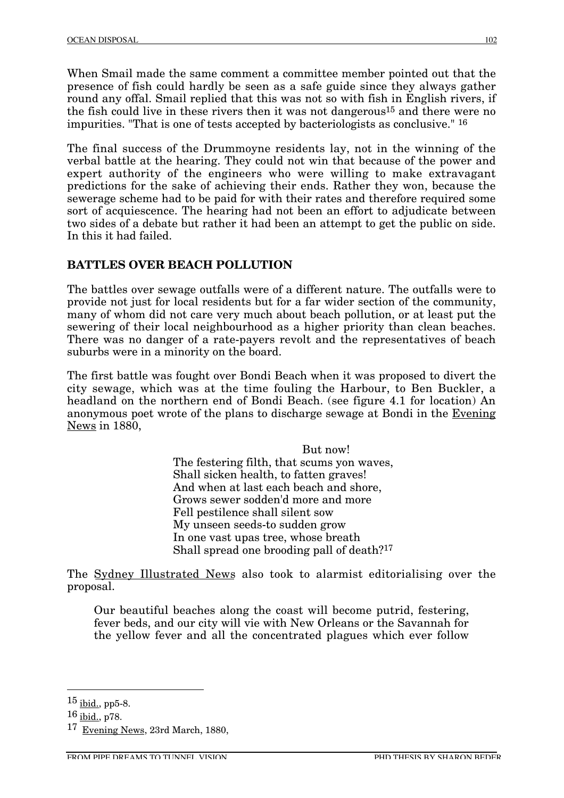When Smail made the same comment a committee member pointed out that the presence of fish could hardly be seen as a safe guide since they always gather round any offal. Smail replied that this was not so with fish in English rivers, if the fish could live in these rivers then it was not dangerous<sup>15</sup> and there were no impurities. "That is one of tests accepted by bacteriologists as conclusive." 16

The final success of the Drummoyne residents lay, not in the winning of the verbal battle at the hearing. They could not win that because of the power and expert authority of the engineers who were willing to make extravagant predictions for the sake of achieving their ends. Rather they won, because the sewerage scheme had to be paid for with their rates and therefore required some sort of acquiescence. The hearing had not been an effort to adjudicate between two sides of a debate but rather it had been an attempt to get the public on side. In this it had failed.

#### **BATTLES OVER BEACH POLLUTION**

The battles over sewage outfalls were of a different nature. The outfalls were to provide not just for local residents but for a far wider section of the community, many of whom did not care very much about beach pollution, or at least put the sewering of their local neighbourhood as a higher priority than clean beaches. There was no danger of a rate-payers revolt and the representatives of beach suburbs were in a minority on the board.

The first battle was fought over Bondi Beach when it was proposed to divert the city sewage, which was at the time fouling the Harbour, to Ben Buckler, a headland on the northern end of Bondi Beach. (see figure 4.1 for location) An anonymous poet wrote of the plans to discharge sewage at Bondi in the Evening News in 1880,

> But now! The festering filth, that scums yon waves, Shall sicken health, to fatten graves! And when at last each beach and shore, Grows sewer sodden'd more and more Fell pestilence shall silent sow My unseen seeds-to sudden grow In one vast upas tree, whose breath Shall spread one brooding pall of death?17

The Sydney Illustrated News also took to alarmist editorialising over the proposal.

Our beautiful beaches along the coast will become putrid, festering, fever beds, and our city will vie with New Orleans or the Savannah for the yellow fever and all the concentrated plagues which ever follow

15 ibid., pp5-8.

<sup>16</sup> ibid., p78.

<sup>17</sup> Evening News, 23rd March, 1880,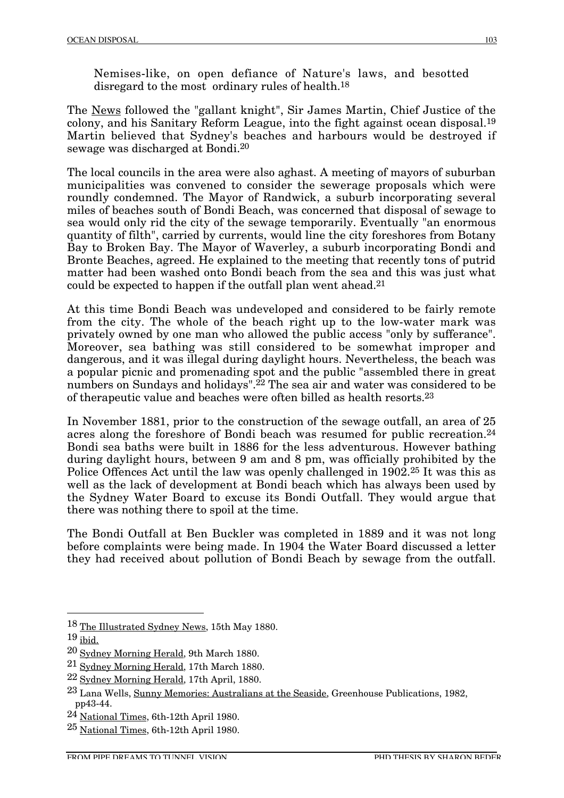Nemises-like, on open defiance of Nature's laws, and besotted disregard to the most ordinary rules of health.<sup>18</sup>

The News followed the "gallant knight", Sir James Martin, Chief Justice of the colony, and his Sanitary Reform League, into the fight against ocean disposal.19 Martin believed that Sydney's beaches and harbours would be destroyed if sewage was discharged at Bondi.20

The local councils in the area were also aghast. A meeting of mayors of suburban municipalities was convened to consider the sewerage proposals which were roundly condemned. The Mayor of Randwick, a suburb incorporating several miles of beaches south of Bondi Beach, was concerned that disposal of sewage to sea would only rid the city of the sewage temporarily. Eventually "an enormous quantity of filth", carried by currents, would line the city foreshores from Botany Bay to Broken Bay. The Mayor of Waverley, a suburb incorporating Bondi and Bronte Beaches, agreed. He explained to the meeting that recently tons of putrid matter had been washed onto Bondi beach from the sea and this was just what could be expected to happen if the outfall plan went ahead.21

At this time Bondi Beach was undeveloped and considered to be fairly remote from the city. The whole of the beach right up to the low-water mark was privately owned by one man who allowed the public access "only by sufferance". Moreover, sea bathing was still considered to be somewhat improper and dangerous, and it was illegal during daylight hours. Nevertheless, the beach was a popular picnic and promenading spot and the public "assembled there in great numbers on Sundays and holidays".<sup>22</sup> The sea air and water was considered to be of therapeutic value and beaches were often billed as health resorts.23

In November 1881, prior to the construction of the sewage outfall, an area of 25 acres along the foreshore of Bondi beach was resumed for public recreation.<sup>24</sup> Bondi sea baths were built in 1886 for the less adventurous. However bathing during daylight hours, between 9 am and 8 pm, was officially prohibited by the Police Offences Act until the law was openly challenged in 1902.25 It was this as well as the lack of development at Bondi beach which has always been used by the Sydney Water Board to excuse its Bondi Outfall. They would argue that there was nothing there to spoil at the time.

The Bondi Outfall at Ben Buckler was completed in 1889 and it was not long before complaints were being made. In 1904 the Water Board discussed a letter they had received about pollution of Bondi Beach by sewage from the outfall.

 <sup>18</sup> The Illustrated Sydney News, 15th May 1880.

<sup>19</sup> ibid.

<sup>20</sup> Sydney Morning Herald, 9th March 1880.

<sup>21</sup> Sydney Morning Herald, 17th March 1880.

<sup>22</sup> Sydney Morning Herald, 17th April, 1880.

<sup>23</sup> Lana Wells, Sunny Memories: Australians at the Seaside, Greenhouse Publications, 1982, pp43-44.

<sup>24</sup> National Times, 6th-12th April 1980.

<sup>25</sup> National Times, 6th-12th April 1980.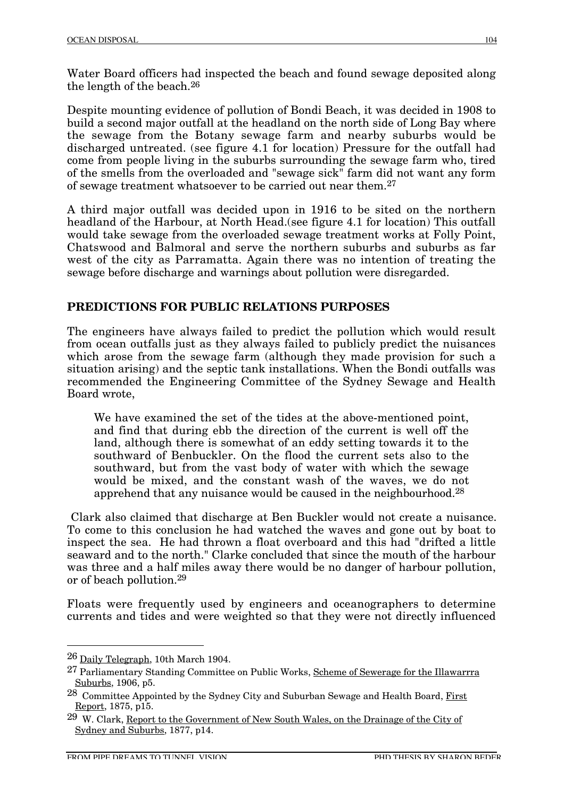Water Board officers had inspected the beach and found sewage deposited along the length of the beach.26

Despite mounting evidence of pollution of Bondi Beach, it was decided in 1908 to build a second major outfall at the headland on the north side of Long Bay where the sewage from the Botany sewage farm and nearby suburbs would be discharged untreated. (see figure 4.1 for location) Pressure for the outfall had come from people living in the suburbs surrounding the sewage farm who, tired of the smells from the overloaded and "sewage sick" farm did not want any form of sewage treatment whatsoever to be carried out near them.27

A third major outfall was decided upon in 1916 to be sited on the northern headland of the Harbour, at North Head.(see figure 4.1 for location) This outfall would take sewage from the overloaded sewage treatment works at Folly Point, Chatswood and Balmoral and serve the northern suburbs and suburbs as far west of the city as Parramatta. Again there was no intention of treating the sewage before discharge and warnings about pollution were disregarded.

### **PREDICTIONS FOR PUBLIC RELATIONS PURPOSES**

The engineers have always failed to predict the pollution which would result from ocean outfalls just as they always failed to publicly predict the nuisances which arose from the sewage farm (although they made provision for such a situation arising) and the septic tank installations. When the Bondi outfalls was recommended the Engineering Committee of the Sydney Sewage and Health Board wrote,

We have examined the set of the tides at the above-mentioned point, and find that during ebb the direction of the current is well off the land, although there is somewhat of an eddy setting towards it to the southward of Benbuckler. On the flood the current sets also to the southward, but from the vast body of water with which the sewage would be mixed, and the constant wash of the waves, we do not apprehend that any nuisance would be caused in the neighbourhood.28

Clark also claimed that discharge at Ben Buckler would not create a nuisance. To come to this conclusion he had watched the waves and gone out by boat to inspect the sea. He had thrown a float overboard and this had "drifted a little seaward and to the north." Clarke concluded that since the mouth of the harbour was three and a half miles away there would be no danger of harbour pollution, or of beach pollution.29

Floats were frequently used by engineers and oceanographers to determine currents and tides and were weighted so that they were not directly influenced

 <sup>26</sup> Daily Telegraph, 10th March 1904.

<sup>&</sup>lt;sup>27</sup> Parliamentary Standing Committee on Public Works, Scheme of Sewerage for the Illawarrra Suburbs, 1906, p5.

<sup>28</sup> Committee Appointed by the Sydney City and Suburban Sewage and Health Board, First Report, 1875, p15.

<sup>&</sup>lt;sup>29</sup> W. Clark, Report to the Government of New South Wales, on the Drainage of the City of Sydney and Suburbs, 1877, p14.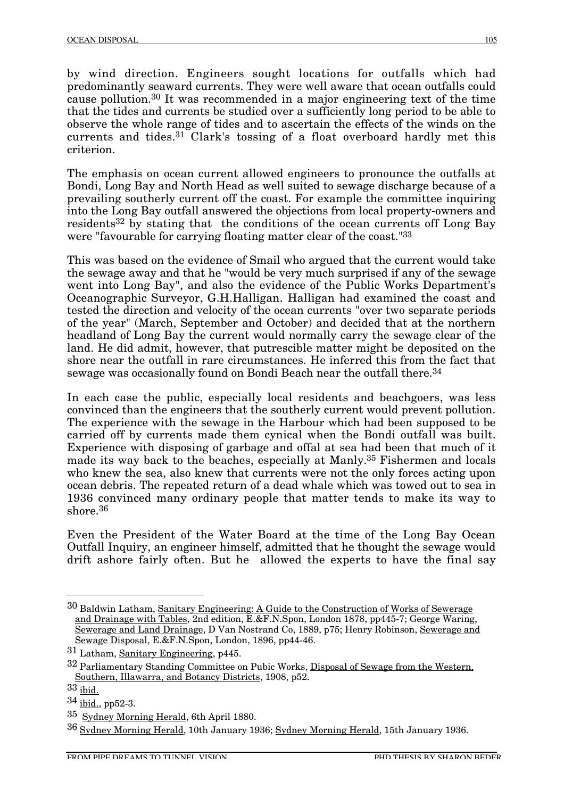by wind direction. Engineers sought locations for outfalls which had predominantly seaward currents. They were well aware that ocean outfalls could cause pollution.30 It was recommended in a major engineering text of the time that the tides and currents be studied over a sufficiently long period to be able to observe the whole range of tides and to ascertain the effects of the winds on the currents and tides.31 Clark's tossing of a float overboard hardly met this criterion.

The emphasis on ocean current allowed engineers to pronounce the outfalls at Bondi, Long Bay and North Head as well suited to sewage discharge because of a prevailing southerly current off the coast. For example the committee inquiring into the Long Bay outfall answered the objections from local property-owners and residents32 by stating that the conditions of the ocean currents off Long Bay were "favourable for carrying floating matter clear of the coast."33

This was based on the evidence of Smail who argued that the current would take the sewage away and that he "would be very much surprised if any of the sewage went into Long Bay", and also the evidence of the Public Works Department's Oceanographic Surveyor, G.H.Halligan. Halligan had examined the coast and tested the direction and velocity of the ocean currents "over two separate periods of the year" (March, September and October) and decided that at the northern headland of Long Bay the current would normally carry the sewage clear of the land. He did admit, however, that putrescible matter might be deposited on the shore near the outfall in rare circumstances. He inferred this from the fact that sewage was occasionally found on Bondi Beach near the outfall there.<sup>34</sup>

In each case the public, especially local residents and beachgoers, was less convinced than the engineers that the southerly current would prevent pollution. The experience with the sewage in the Harbour which had been supposed to be carried off by currents made them cynical when the Bondi outfall was built. Experience with disposing of garbage and offal at sea had been that much of it made its way back to the beaches, especially at Manly.35 Fishermen and locals who knew the sea, also knew that currents were not the only forces acting upon ocean debris. The repeated return of a dead whale which was towed out to sea in 1936 convinced many ordinary people that matter tends to make its way to shore.36

Even the President of the Water Board at the time of the Long Bay Ocean Outfall Inquiry, an engineer himself, admitted that he thought the sewage would drift ashore fairly often. But he allowed the experts to have the final say

 <sup>30</sup> Baldwin Latham, Sanitary Engineering: A Guide to the Construction of Works of Sewerage and Drainage with Tables, 2nd edition, E.&F.N.Spon, London 1878, pp445-7; George Waring, Sewerage and Land Drainage, D Van Nostrand Co, 1889, p75; Henry Robinson, Sewerage and Sewage Disposal, E.&F.N.Spon, London, 1896, pp44-46.

<sup>31</sup> Latham, Sanitary Engineering, p445.

<sup>&</sup>lt;sup>32</sup> Parliamentary Standing Committee on Pubic Works, Disposal of Sewage from the Western, Southern, Illawarra, and Botancy Districts, 1908, p52.

<sup>33</sup> ibid.

<sup>34</sup> ibid., pp52-3.

<sup>35</sup> Sydney Morning Herald, 6th April 1880.

<sup>36</sup> Sydney Morning Herald, 10th January 1936; Sydney Morning Herald, 15th January 1936.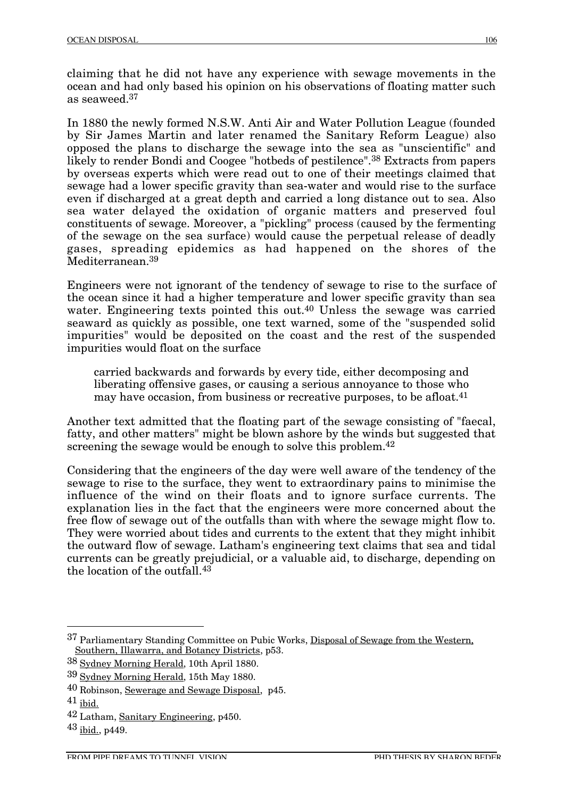claiming that he did not have any experience with sewage movements in the ocean and had only based his opinion on his observations of floating matter such as seaweed.37

In 1880 the newly formed N.S.W. Anti Air and Water Pollution League (founded by Sir James Martin and later renamed the Sanitary Reform League) also opposed the plans to discharge the sewage into the sea as "unscientific" and likely to render Bondi and Coogee "hotbeds of pestilence".38 Extracts from papers by overseas experts which were read out to one of their meetings claimed that sewage had a lower specific gravity than sea-water and would rise to the surface even if discharged at a great depth and carried a long distance out to sea. Also sea water delayed the oxidation of organic matters and preserved foul constituents of sewage. Moreover, a "pickling" process (caused by the fermenting of the sewage on the sea surface) would cause the perpetual release of deadly gases, spreading epidemics as had happened on the shores of the Mediterranean<sup>39</sup>

Engineers were not ignorant of the tendency of sewage to rise to the surface of the ocean since it had a higher temperature and lower specific gravity than sea water. Engineering texts pointed this out.<sup>40</sup> Unless the sewage was carried seaward as quickly as possible, one text warned, some of the "suspended solid impurities" would be deposited on the coast and the rest of the suspended impurities would float on the surface

carried backwards and forwards by every tide, either decomposing and liberating offensive gases, or causing a serious annoyance to those who may have occasion, from business or recreative purposes, to be afloat.<sup>41</sup>

Another text admitted that the floating part of the sewage consisting of "faecal, fatty, and other matters" might be blown ashore by the winds but suggested that screening the sewage would be enough to solve this problem.<sup>42</sup>

Considering that the engineers of the day were well aware of the tendency of the sewage to rise to the surface, they went to extraordinary pains to minimise the influence of the wind on their floats and to ignore surface currents. The explanation lies in the fact that the engineers were more concerned about the free flow of sewage out of the outfalls than with where the sewage might flow to. They were worried about tides and currents to the extent that they might inhibit the outward flow of sewage. Latham's engineering text claims that sea and tidal currents can be greatly prejudicial, or a valuable aid, to discharge, depending on the location of the outfall.43

 <sup>37</sup> Parliamentary Standing Committee on Pubic Works, Disposal of Sewage from the Western, Southern, Illawarra, and Botancy Districts, p53.

<sup>38</sup> Sydney Morning Herald, 10th April 1880.

<sup>39</sup> Sydney Morning Herald, 15th May 1880.

<sup>40</sup> Robinson, Sewerage and Sewage Disposal, p45.

<sup>41</sup> ibid.

<sup>42</sup> Latham, Sanitary Engineering, p450.

<sup>43</sup> ibid., p449.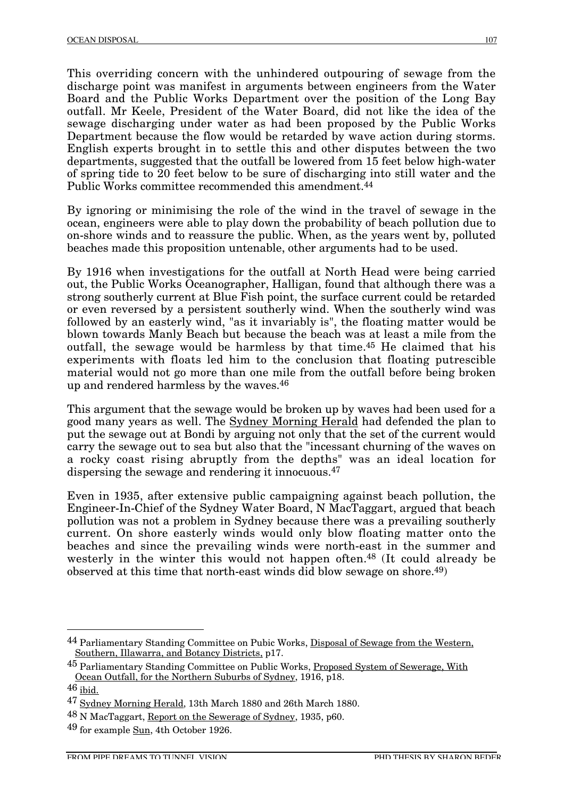This overriding concern with the unhindered outpouring of sewage from the discharge point was manifest in arguments between engineers from the Water Board and the Public Works Department over the position of the Long Bay outfall. Mr Keele, President of the Water Board, did not like the idea of the sewage discharging under water as had been proposed by the Public Works Department because the flow would be retarded by wave action during storms. English experts brought in to settle this and other disputes between the two departments, suggested that the outfall be lowered from 15 feet below high-water of spring tide to 20 feet below to be sure of discharging into still water and the Public Works committee recommended this amendment.<sup>44</sup>

By ignoring or minimising the role of the wind in the travel of sewage in the ocean, engineers were able to play down the probability of beach pollution due to on-shore winds and to reassure the public. When, as the years went by, polluted beaches made this proposition untenable, other arguments had to be used.

By 1916 when investigations for the outfall at North Head were being carried out, the Public Works Oceanographer, Halligan, found that although there was a strong southerly current at Blue Fish point, the surface current could be retarded or even reversed by a persistent southerly wind. When the southerly wind was followed by an easterly wind, "as it invariably is", the floating matter would be blown towards Manly Beach but because the beach was at least a mile from the outfall, the sewage would be harmless by that time.45 He claimed that his experiments with floats led him to the conclusion that floating putrescible material would not go more than one mile from the outfall before being broken up and rendered harmless by the waves.46

This argument that the sewage would be broken up by waves had been used for a good many years as well. The Sydney Morning Herald had defended the plan to put the sewage out at Bondi by arguing not only that the set of the current would carry the sewage out to sea but also that the "incessant churning of the waves on a rocky coast rising abruptly from the depths" was an ideal location for dispersing the sewage and rendering it innocuous.47

Even in 1935, after extensive public campaigning against beach pollution, the Engineer-In-Chief of the Sydney Water Board, N MacTaggart, argued that beach pollution was not a problem in Sydney because there was a prevailing southerly current. On shore easterly winds would only blow floating matter onto the beaches and since the prevailing winds were north-east in the summer and westerly in the winter this would not happen often.<sup>48</sup> (It could already be observed at this time that north-east winds did blow sewage on shore.49)

 <sup>44</sup> Parliamentary Standing Committee on Pubic Works, Disposal of Sewage from the Western, Southern, Illawarra, and Botancy Districts, p17.

<sup>&</sup>lt;sup>45</sup> Parliamentary Standing Committee on Public Works, Proposed System of Sewerage, With Ocean Outfall, for the Northern Suburbs of Sydney, 1916, p18.

<sup>46</sup> ibid.

<sup>47</sup> Sydney Morning Herald, 13th March 1880 and 26th March 1880.

<sup>48</sup> N MacTaggart, Report on the Sewerage of Sydney, 1935, p60.

<sup>49</sup> for example Sun, 4th October 1926.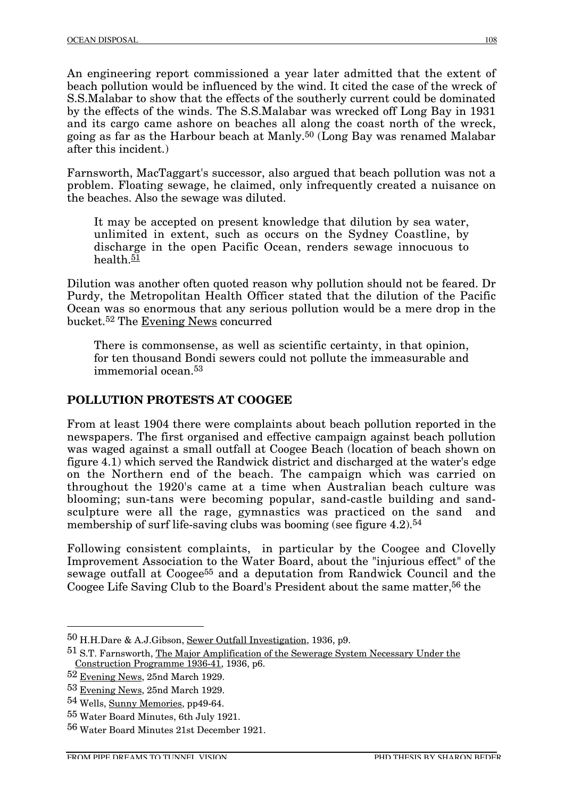An engineering report commissioned a year later admitted that the extent of beach pollution would be influenced by the wind. It cited the case of the wreck of S.S.Malabar to show that the effects of the southerly current could be dominated by the effects of the winds. The S.S.Malabar was wrecked off Long Bay in 1931 and its cargo came ashore on beaches all along the coast north of the wreck, going as far as the Harbour beach at Manly.50 (Long Bay was renamed Malabar after this incident.)

Farnsworth, MacTaggart's successor, also argued that beach pollution was not a problem. Floating sewage, he claimed, only infrequently created a nuisance on the beaches. Also the sewage was diluted.

It may be accepted on present knowledge that dilution by sea water, unlimited in extent, such as occurs on the Sydney Coastline, by discharge in the open Pacific Ocean, renders sewage innocuous to health. $51$ 

Dilution was another often quoted reason why pollution should not be feared. Dr Purdy, the Metropolitan Health Officer stated that the dilution of the Pacific Ocean was so enormous that any serious pollution would be a mere drop in the bucket.52 The Evening News concurred

There is commonsense, as well as scientific certainty, in that opinion, for ten thousand Bondi sewers could not pollute the immeasurable and  $immemorialo<sub>cean</sub> 53$ 

#### **POLLUTION PROTESTS AT COOGEE**

From at least 1904 there were complaints about beach pollution reported in the newspapers. The first organised and effective campaign against beach pollution was waged against a small outfall at Coogee Beach (location of beach shown on figure 4.1) which served the Randwick district and discharged at the water's edge on the Northern end of the beach. The campaign which was carried on throughout the 1920's came at a time when Australian beach culture was blooming; sun-tans were becoming popular, sand-castle building and sandsculpture were all the rage, gymnastics was practiced on the sand and membership of surf life-saving clubs was booming (see figure 4.2).<sup>54</sup>

Following consistent complaints, in particular by the Coogee and Clovelly Improvement Association to the Water Board, about the "injurious effect" of the sewage outfall at Coogee55 and a deputation from Randwick Council and the Coogee Life Saving Club to the Board's President about the same matter,56 the

 <sup>50</sup> H.H.Dare & A.J.Gibson, Sewer Outfall Investigation, 1936, p9.

<sup>51</sup> S.T. Farnsworth, The Major Amplification of the Sewerage System Necessary Under the Construction Programme 1936-41, 1936, p6.

<sup>52</sup> Evening News, 25nd March 1929.

<sup>53</sup> Evening News, 25nd March 1929.

<sup>54</sup> Wells, Sunny Memories, pp49-64.

<sup>55</sup> Water Board Minutes, 6th July 1921.

<sup>56</sup> Water Board Minutes 21st December 1921.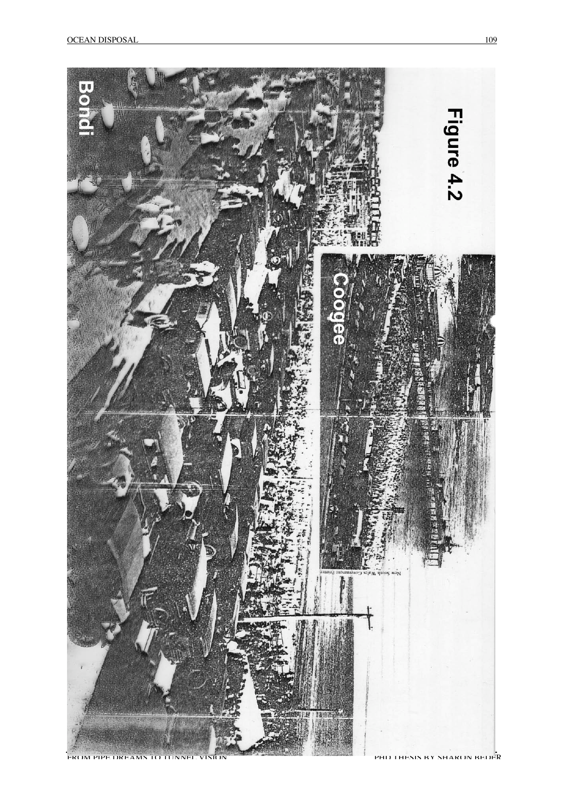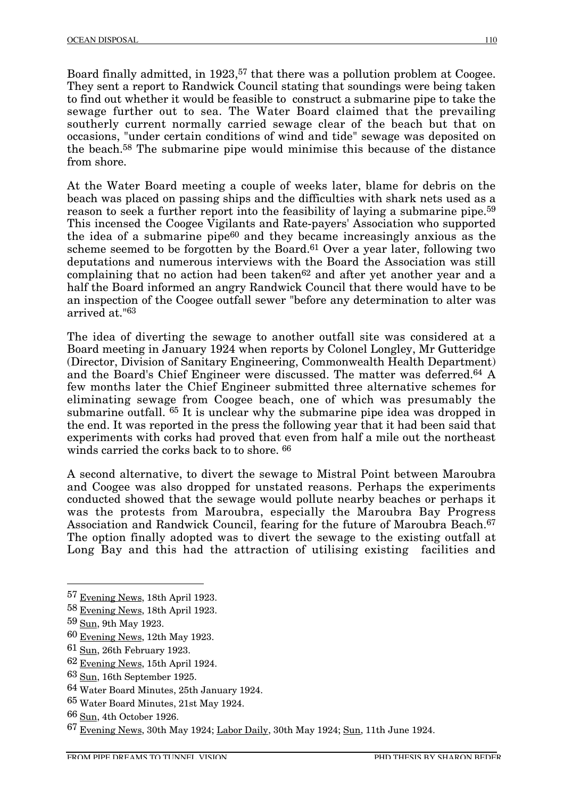Board finally admitted, in 1923,<sup>57</sup> that there was a pollution problem at Coogee. They sent a report to Randwick Council stating that soundings were being taken to find out whether it would be feasible to construct a submarine pipe to take the sewage further out to sea. The Water Board claimed that the prevailing southerly current normally carried sewage clear of the beach but that on occasions, "under certain conditions of wind and tide" sewage was deposited on the beach.58 The submarine pipe would minimise this because of the distance from shore.

At the Water Board meeting a couple of weeks later, blame for debris on the beach was placed on passing ships and the difficulties with shark nets used as a reason to seek a further report into the feasibility of laying a submarine pipe.59 This incensed the Coogee Vigilants and Rate-payers' Association who supported the idea of a submarine pipe<sup>60</sup> and they became increasingly anxious as the scheme seemed to be forgotten by the Board.<sup>61</sup> Over a year later, following two deputations and numerous interviews with the Board the Association was still complaining that no action had been taken<sup>62</sup> and after yet another year and a half the Board informed an angry Randwick Council that there would have to be an inspection of the Coogee outfall sewer "before any determination to alter was arrived at."63

The idea of diverting the sewage to another outfall site was considered at a Board meeting in January 1924 when reports by Colonel Longley, Mr Gutteridge (Director, Division of Sanitary Engineering, Commonwealth Health Department) and the Board's Chief Engineer were discussed. The matter was deferred.64 A few months later the Chief Engineer submitted three alternative schemes for eliminating sewage from Coogee beach, one of which was presumably the submarine outfall. <sup>65</sup> It is unclear why the submarine pipe idea was dropped in the end. It was reported in the press the following year that it had been said that experiments with corks had proved that even from half a mile out the northeast winds carried the corks back to to shore.  $66$ 

A second alternative, to divert the sewage to Mistral Point between Maroubra and Coogee was also dropped for unstated reasons. Perhaps the experiments conducted showed that the sewage would pollute nearby beaches or perhaps it was the protests from Maroubra, especially the Maroubra Bay Progress Association and Randwick Council, fearing for the future of Maroubra Beach.<sup>67</sup> The option finally adopted was to divert the sewage to the existing outfall at Long Bay and this had the attraction of utilising existing facilities and

- 60 Evening News, 12th May 1923.
- 61 Sun, 26th February 1923.
- 62 Evening News, 15th April 1924.
- 63 Sun, 16th September 1925.

- 65 Water Board Minutes, 21st May 1924.
- 66 Sun, 4th October 1926.

 <sup>57</sup> Evening News, 18th April 1923.

<sup>58</sup> Evening News, 18th April 1923.

<sup>59</sup> Sun, 9th May 1923.

<sup>64</sup> Water Board Minutes, 25th January 1924.

<sup>67</sup> Evening News, 30th May 1924; Labor Daily, 30th May 1924; Sun, 11th June 1924.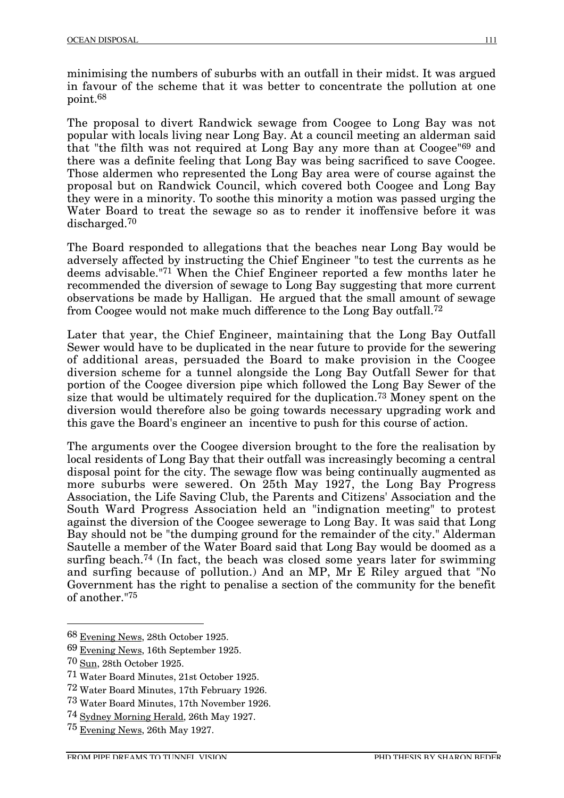minimising the numbers of suburbs with an outfall in their midst. It was argued in favour of the scheme that it was better to concentrate the pollution at one point.68

The proposal to divert Randwick sewage from Coogee to Long Bay was not popular with locals living near Long Bay. At a council meeting an alderman said that "the filth was not required at Long Bay any more than at Coogee"69 and there was a definite feeling that Long Bay was being sacrificed to save Coogee. Those aldermen who represented the Long Bay area were of course against the proposal but on Randwick Council, which covered both Coogee and Long Bay they were in a minority. To soothe this minority a motion was passed urging the Water Board to treat the sewage so as to render it inoffensive before it was discharged.70

The Board responded to allegations that the beaches near Long Bay would be adversely affected by instructing the Chief Engineer "to test the currents as he deems advisable."71 When the Chief Engineer reported a few months later he recommended the diversion of sewage to Long Bay suggesting that more current observations be made by Halligan. He argued that the small amount of sewage from Coogee would not make much difference to the Long Bay outfall.72

Later that year, the Chief Engineer, maintaining that the Long Bay Outfall Sewer would have to be duplicated in the near future to provide for the sewering of additional areas, persuaded the Board to make provision in the Coogee diversion scheme for a tunnel alongside the Long Bay Outfall Sewer for that portion of the Coogee diversion pipe which followed the Long Bay Sewer of the size that would be ultimately required for the duplication.73 Money spent on the diversion would therefore also be going towards necessary upgrading work and this gave the Board's engineer an incentive to push for this course of action.

The arguments over the Coogee diversion brought to the fore the realisation by local residents of Long Bay that their outfall was increasingly becoming a central disposal point for the city. The sewage flow was being continually augmented as more suburbs were sewered. On 25th May 1927, the Long Bay Progress Association, the Life Saving Club, the Parents and Citizens' Association and the South Ward Progress Association held an "indignation meeting" to protest against the diversion of the Coogee sewerage to Long Bay. It was said that Long Bay should not be "the dumping ground for the remainder of the city." Alderman Sautelle a member of the Water Board said that Long Bay would be doomed as a surfing beach.<sup>74</sup> (In fact, the beach was closed some years later for swimming and surfing because of pollution.) And an MP, Mr E Riley argued that "No Government has the right to penalise a section of the community for the benefit of another."75

 <sup>68</sup> Evening News, 28th October 1925.

<sup>69</sup> Evening News, 16th September 1925.

<sup>70</sup> Sun, 28th October 1925.

<sup>71</sup> Water Board Minutes, 21st October 1925.

<sup>72</sup> Water Board Minutes, 17th February 1926.

<sup>73</sup> Water Board Minutes, 17th November 1926.

<sup>74</sup> Sydney Morning Herald, 26th May 1927.

<sup>75</sup> Evening News, 26th May 1927.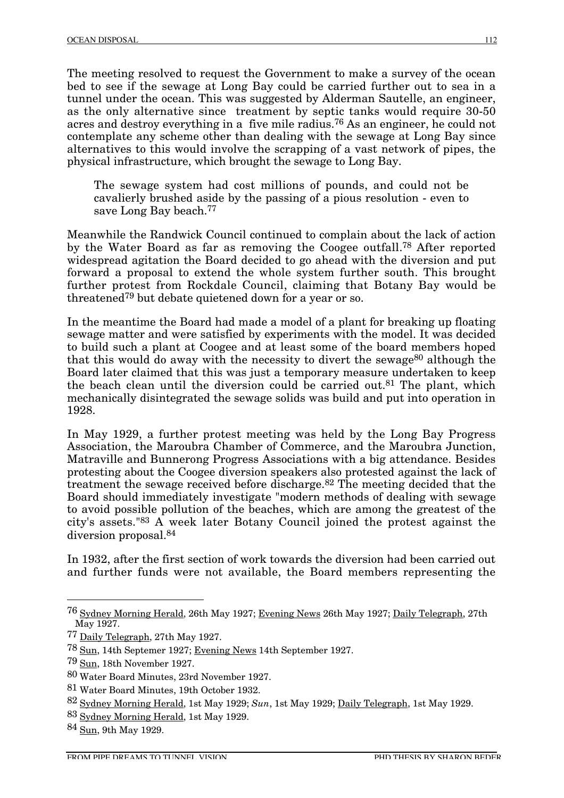The meeting resolved to request the Government to make a survey of the ocean bed to see if the sewage at Long Bay could be carried further out to sea in a tunnel under the ocean. This was suggested by Alderman Sautelle, an engineer, as the only alternative since treatment by septic tanks would require 30-50 acres and destroy everything in a five mile radius.76 As an engineer, he could not contemplate any scheme other than dealing with the sewage at Long Bay since alternatives to this would involve the scrapping of a vast network of pipes, the physical infrastructure, which brought the sewage to Long Bay.

The sewage system had cost millions of pounds, and could not be cavalierly brushed aside by the passing of a pious resolution - even to save Long Bay beach.<sup>77</sup>

Meanwhile the Randwick Council continued to complain about the lack of action by the Water Board as far as removing the Coogee outfall.78 After reported widespread agitation the Board decided to go ahead with the diversion and put forward a proposal to extend the whole system further south. This brought further protest from Rockdale Council, claiming that Botany Bay would be threatened79 but debate quietened down for a year or so.

In the meantime the Board had made a model of a plant for breaking up floating sewage matter and were satisfied by experiments with the model. It was decided to build such a plant at Coogee and at least some of the board members hoped that this would do away with the necessity to divert the sewage<sup>80</sup> although the Board later claimed that this was just a temporary measure undertaken to keep the beach clean until the diversion could be carried out.<sup>81</sup> The plant, which mechanically disintegrated the sewage solids was build and put into operation in 1928.

In May 1929, a further protest meeting was held by the Long Bay Progress Association, the Maroubra Chamber of Commerce, and the Maroubra Junction, Matraville and Bunnerong Progress Associations with a big attendance. Besides protesting about the Coogee diversion speakers also protested against the lack of treatment the sewage received before discharge.82 The meeting decided that the Board should immediately investigate "modern methods of dealing with sewage to avoid possible pollution of the beaches, which are among the greatest of the city's assets."83 A week later Botany Council joined the protest against the diversion proposal.84

In 1932, after the first section of work towards the diversion had been carried out and further funds were not available, the Board members representing the

 <sup>76</sup> Sydney Morning Herald, 26th May 1927; Evening News 26th May 1927; Daily Telegraph, 27th May 1927.

<sup>77</sup> Daily Telegraph, 27th May 1927.

<sup>78</sup> Sun, 14th Septemer 1927; Evening News 14th September 1927.

<sup>79</sup> Sun, 18th November 1927.

<sup>80</sup> Water Board Minutes, 23rd November 1927.

<sup>81</sup> Water Board Minutes, 19th October 1932.

<sup>82</sup> Sydney Morning Herald, 1st May 1929; *Sun*, 1st May 1929; Daily Telegraph, 1st May 1929.

<sup>83</sup> Sydney Morning Herald, 1st May 1929.

<sup>84</sup> Sun, 9th May 1929.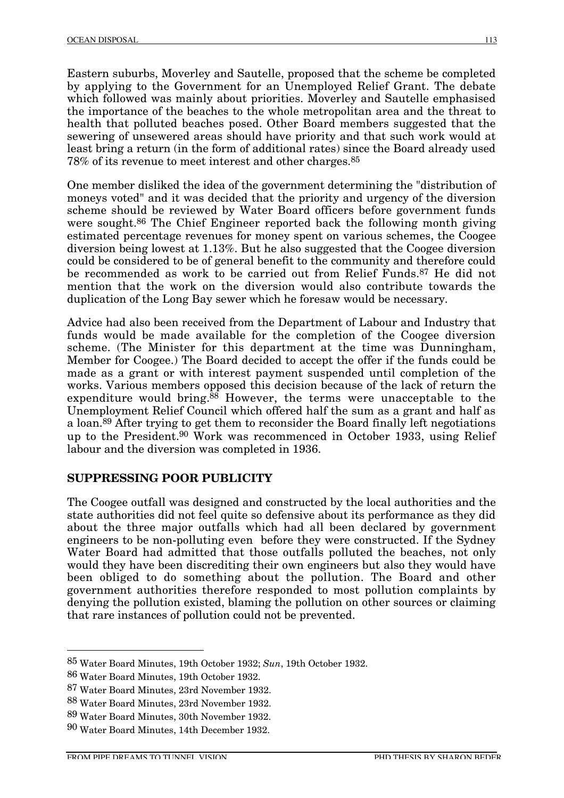Eastern suburbs, Moverley and Sautelle, proposed that the scheme be completed by applying to the Government for an Unemployed Relief Grant. The debate which followed was mainly about priorities. Moverley and Sautelle emphasised the importance of the beaches to the whole metropolitan area and the threat to health that polluted beaches posed. Other Board members suggested that the sewering of unsewered areas should have priority and that such work would at least bring a return (in the form of additional rates) since the Board already used 78% of its revenue to meet interest and other charges.85

One member disliked the idea of the government determining the "distribution of moneys voted" and it was decided that the priority and urgency of the diversion scheme should be reviewed by Water Board officers before government funds were sought.<sup>86</sup> The Chief Engineer reported back the following month giving estimated percentage revenues for money spent on various schemes, the Coogee diversion being lowest at 1.13%. But he also suggested that the Coogee diversion could be considered to be of general benefit to the community and therefore could be recommended as work to be carried out from Relief Funds.87 He did not mention that the work on the diversion would also contribute towards the duplication of the Long Bay sewer which he foresaw would be necessary.

Advice had also been received from the Department of Labour and Industry that funds would be made available for the completion of the Coogee diversion scheme. (The Minister for this department at the time was Dunningham, Member for Coogee.) The Board decided to accept the offer if the funds could be made as a grant or with interest payment suspended until completion of the works. Various members opposed this decision because of the lack of return the expenditure would bring.88 However, the terms were unacceptable to the Unemployment Relief Council which offered half the sum as a grant and half as a loan.89 After trying to get them to reconsider the Board finally left negotiations up to the President.90 Work was recommenced in October 1933, using Relief labour and the diversion was completed in 1936.

#### **SUPPRESSING POOR PUBLICITY**

The Coogee outfall was designed and constructed by the local authorities and the state authorities did not feel quite so defensive about its performance as they did about the three major outfalls which had all been declared by government engineers to be non-polluting even before they were constructed. If the Sydney Water Board had admitted that those outfalls polluted the beaches, not only would they have been discrediting their own engineers but also they would have been obliged to do something about the pollution. The Board and other government authorities therefore responded to most pollution complaints by denying the pollution existed, blaming the pollution on other sources or claiming that rare instances of pollution could not be prevented.

 <sup>85</sup> Water Board Minutes, 19th October 1932; *Sun*, 19th October 1932.

<sup>86</sup> Water Board Minutes, 19th October 1932.

<sup>87</sup> Water Board Minutes, 23rd November 1932.

<sup>88</sup> Water Board Minutes, 23rd November 1932.

<sup>89</sup> Water Board Minutes, 30th November 1932.

<sup>90</sup> Water Board Minutes, 14th December 1932.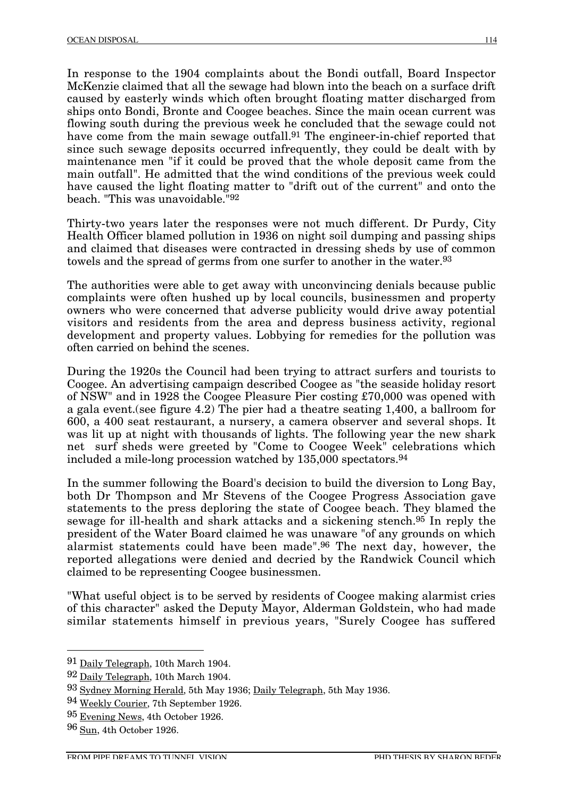In response to the 1904 complaints about the Bondi outfall, Board Inspector McKenzie claimed that all the sewage had blown into the beach on a surface drift caused by easterly winds which often brought floating matter discharged from ships onto Bondi, Bronte and Coogee beaches. Since the main ocean current was flowing south during the previous week he concluded that the sewage could not have come from the main sewage outfall.<sup>91</sup> The engineer-in-chief reported that since such sewage deposits occurred infrequently, they could be dealt with by maintenance men "if it could be proved that the whole deposit came from the main outfall". He admitted that the wind conditions of the previous week could have caused the light floating matter to "drift out of the current" and onto the beach. "This was unavoidable."92

Thirty-two years later the responses were not much different. Dr Purdy, City Health Officer blamed pollution in 1936 on night soil dumping and passing ships and claimed that diseases were contracted in dressing sheds by use of common towels and the spread of germs from one surfer to another in the water.<sup>93</sup>

The authorities were able to get away with unconvincing denials because public complaints were often hushed up by local councils, businessmen and property owners who were concerned that adverse publicity would drive away potential visitors and residents from the area and depress business activity, regional development and property values. Lobbying for remedies for the pollution was often carried on behind the scenes.

During the 1920s the Council had been trying to attract surfers and tourists to Coogee. An advertising campaign described Coogee as "the seaside holiday resort of NSW" and in 1928 the Coogee Pleasure Pier costing £70,000 was opened with a gala event.(see figure 4.2) The pier had a theatre seating 1,400, a ballroom for 600, a 400 seat restaurant, a nursery, a camera observer and several shops. It was lit up at night with thousands of lights. The following year the new shark net surf sheds were greeted by "Come to Coogee Week" celebrations which included a mile-long procession watched by 135,000 spectators.94

In the summer following the Board's decision to build the diversion to Long Bay, both Dr Thompson and Mr Stevens of the Coogee Progress Association gave statements to the press deploring the state of Coogee beach. They blamed the sewage for ill-health and shark attacks and a sickening stench.95 In reply the president of the Water Board claimed he was unaware "of any grounds on which alarmist statements could have been made".96 The next day, however, the reported allegations were denied and decried by the Randwick Council which claimed to be representing Coogee businessmen.

"What useful object is to be served by residents of Coogee making alarmist cries of this character" asked the Deputy Mayor, Alderman Goldstein, who had made similar statements himself in previous years, "Surely Coogee has suffered

 <sup>91</sup> Daily Telegraph, 10th March 1904.

<sup>92</sup> Daily Telegraph, 10th March 1904.

<sup>93</sup> Sydney Morning Herald, 5th May 1936; Daily Telegraph, 5th May 1936.

<sup>94</sup> Weekly Courier, 7th September 1926.

<sup>95</sup> Evening News, 4th October 1926.

<sup>96</sup> Sun, 4th October 1926.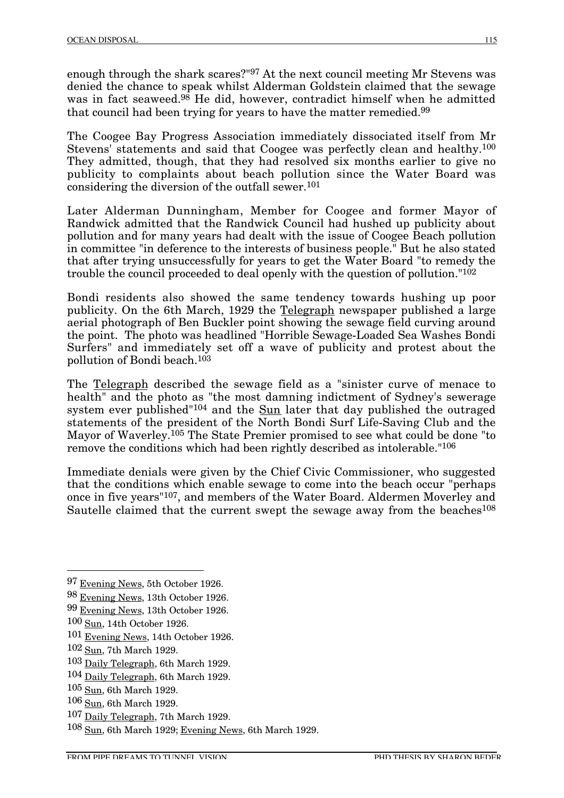enough through the shark scares?"97 At the next council meeting Mr Stevens was denied the chance to speak whilst Alderman Goldstein claimed that the sewage was in fact seaweed.<sup>98</sup> He did, however, contradict himself when he admitted that council had been trying for years to have the matter remedied.99

The Coogee Bay Progress Association immediately dissociated itself from Mr Stevens' statements and said that Coogee was perfectly clean and healthy.100 They admitted, though, that they had resolved six months earlier to give no publicity to complaints about beach pollution since the Water Board was considering the diversion of the outfall sewer.101

Later Alderman Dunningham, Member for Coogee and former Mayor of Randwick admitted that the Randwick Council had hushed up publicity about pollution and for many years had dealt with the issue of Coogee Beach pollution in committee "in deference to the interests of business people." But he also stated that after trying unsuccessfully for years to get the Water Board "to remedy the trouble the council proceeded to deal openly with the question of pollution."102

Bondi residents also showed the same tendency towards hushing up poor publicity. On the 6th March, 1929 the Telegraph newspaper published a large aerial photograph of Ben Buckler point showing the sewage field curving around the point. The photo was headlined "Horrible Sewage-Loaded Sea Washes Bondi Surfers" and immediately set off a wave of publicity and protest about the pollution of Bondi beach.103

The Telegraph described the sewage field as a "sinister curve of menace to health" and the photo as "the most damning indictment of Sydney's sewerage system ever published"<sup>104</sup> and the Sun later that day published the outraged statements of the president of the North Bondi Surf Life-Saving Club and the Mayor of Waverley.105 The State Premier promised to see what could be done "to remove the conditions which had been rightly described as intolerable."106

Immediate denials were given by the Chief Civic Commissioner, who suggested that the conditions which enable sewage to come into the beach occur "perhaps once in five years"107, and members of the Water Board. Aldermen Moverley and Sautelle claimed that the current swept the sewage away from the beaches<sup>108</sup>

 <sup>97</sup> Evening News, 5th October 1926.

<sup>98</sup> Evening News, 13th October 1926.

<sup>99</sup> Evening News, 13th October 1926.

<sup>100</sup> Sun, 14th October 1926.

<sup>101</sup> Evening News, 14th October 1926.

<sup>102</sup> Sun, 7th March 1929.

<sup>103</sup> Daily Telegraph, 6th March 1929.

<sup>104</sup> Daily Telegraph, 6th March 1929.

<sup>105</sup> Sun, 6th March 1929.

<sup>106</sup> Sun, 6th March 1929.

<sup>107</sup> Daily Telegraph, 7th March 1929.

<sup>108</sup> Sun, 6th March 1929; Evening News, 6th March 1929.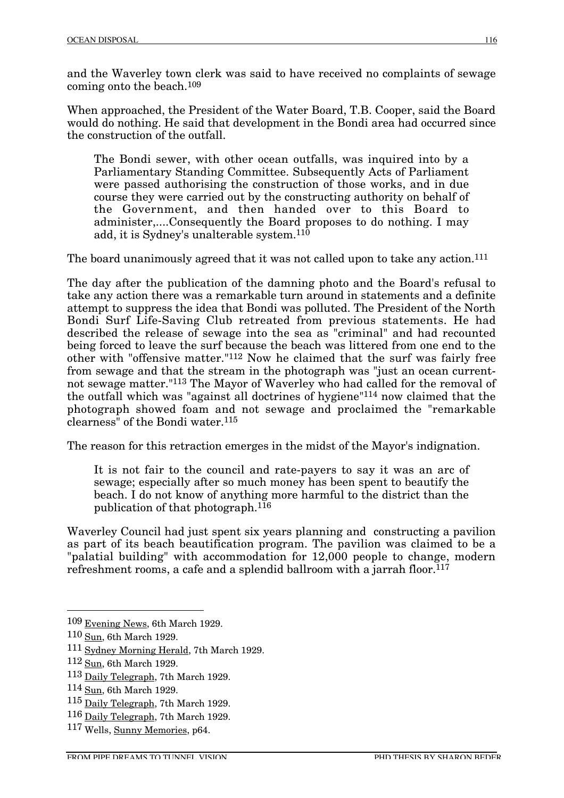and the Waverley town clerk was said to have received no complaints of sewage coming onto the beach.109

When approached, the President of the Water Board, T.B. Cooper, said the Board would do nothing. He said that development in the Bondi area had occurred since the construction of the outfall.

The Bondi sewer, with other ocean outfalls, was inquired into by a Parliamentary Standing Committee. Subsequently Acts of Parliament were passed authorising the construction of those works, and in due course they were carried out by the constructing authority on behalf of the Government, and then handed over to this Board to administer,....Consequently the Board proposes to do nothing. I may add, it is Sydney's unalterable system.110

The board unanimously agreed that it was not called upon to take any action.<sup>111</sup>

The day after the publication of the damning photo and the Board's refusal to take any action there was a remarkable turn around in statements and a definite attempt to suppress the idea that Bondi was polluted. The President of the North Bondi Surf Life-Saving Club retreated from previous statements. He had described the release of sewage into the sea as "criminal" and had recounted being forced to leave the surf because the beach was littered from one end to the other with "offensive matter."112 Now he claimed that the surf was fairly free from sewage and that the stream in the photograph was "just an ocean currentnot sewage matter."113 The Mayor of Waverley who had called for the removal of the outfall which was "against all doctrines of hygiene"114 now claimed that the photograph showed foam and not sewage and proclaimed the "remarkable clearness" of the Bondi water.115

The reason for this retraction emerges in the midst of the Mayor's indignation.

It is not fair to the council and rate-payers to say it was an arc of sewage; especially after so much money has been spent to beautify the beach. I do not know of anything more harmful to the district than the publication of that photograph.116

Waverley Council had just spent six years planning and constructing a pavilion as part of its beach beautification program. The pavilion was claimed to be a "palatial building" with accommodation for 12,000 people to change, modern refreshment rooms, a cafe and a splendid ballroom with a jarrah floor.<sup>117</sup>

 <sup>109</sup> Evening News, 6th March 1929.

<sup>110</sup> Sun, 6th March 1929.

<sup>111</sup> Sydney Morning Herald, 7th March 1929.

<sup>112</sup> Sun, 6th March 1929.

<sup>113</sup> Daily Telegraph, 7th March 1929.

<sup>114</sup> Sun, 6th March 1929.

<sup>115</sup> Daily Telegraph, 7th March 1929.

<sup>116</sup> Daily Telegraph, 7th March 1929.

<sup>117</sup> Wells, Sunny Memories, p64.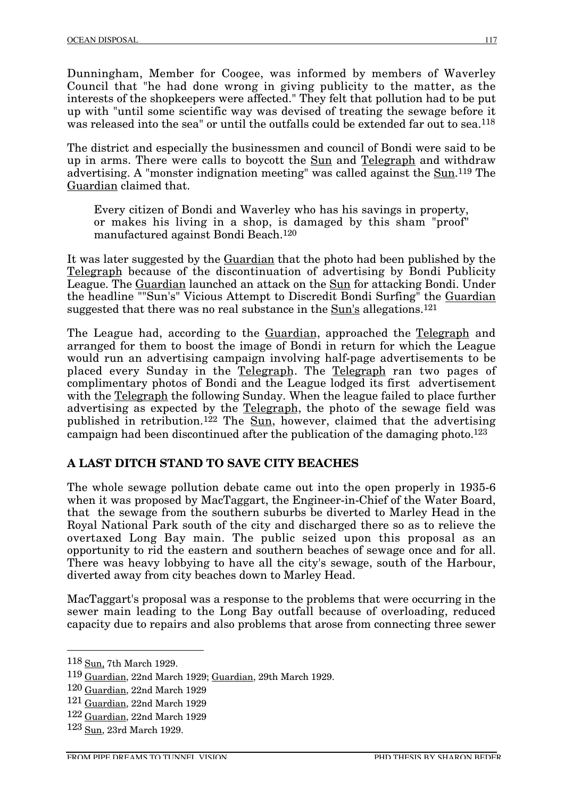Dunningham, Member for Coogee, was informed by members of Waverley Council that "he had done wrong in giving publicity to the matter, as the interests of the shopkeepers were affected." They felt that pollution had to be put up with "until some scientific way was devised of treating the sewage before it was released into the sea" or until the outfalls could be extended far out to sea.<sup>118</sup>

The district and especially the businessmen and council of Bondi were said to be up in arms. There were calls to boycott the Sun and Telegraph and withdraw advertising. A "monster indignation meeting" was called against the Sun.119 The Guardian claimed that.

Every citizen of Bondi and Waverley who has his savings in property, or makes his living in a shop, is damaged by this sham "proof" manufactured against Bondi Beach.120

It was later suggested by the Guardian that the photo had been published by the Telegraph because of the discontinuation of advertising by Bondi Publicity League. The Guardian launched an attack on the Sun for attacking Bondi. Under the headline ""Sun's" Vicious Attempt to Discredit Bondi Surfing" the Guardian suggested that there was no real substance in the Sun's allegations.<sup>121</sup>

The League had, according to the Guardian, approached the Telegraph and arranged for them to boost the image of Bondi in return for which the League would run an advertising campaign involving half-page advertisements to be placed every Sunday in the Telegraph. The Telegraph ran two pages of complimentary photos of Bondi and the League lodged its first advertisement with the Telegraph the following Sunday. When the league failed to place further advertising as expected by the Telegraph, the photo of the sewage field was published in retribution.122 The Sun, however, claimed that the advertising campaign had been discontinued after the publication of the damaging photo.123

#### **A LAST DITCH STAND TO SAVE CITY BEACHES**

The whole sewage pollution debate came out into the open properly in 1935-6 when it was proposed by MacTaggart, the Engineer-in-Chief of the Water Board, that the sewage from the southern suburbs be diverted to Marley Head in the Royal National Park south of the city and discharged there so as to relieve the overtaxed Long Bay main. The public seized upon this proposal as an opportunity to rid the eastern and southern beaches of sewage once and for all. There was heavy lobbying to have all the city's sewage, south of the Harbour, diverted away from city beaches down to Marley Head.

MacTaggart's proposal was a response to the problems that were occurring in the sewer main leading to the Long Bay outfall because of overloading, reduced capacity due to repairs and also problems that arose from connecting three sewer

 <sup>118</sup> Sun, 7th March 1929.

<sup>119</sup> Guardian, 22nd March 1929; Guardian, 29th March 1929.

<sup>120</sup> Guardian, 22nd March 1929

<sup>121</sup> Guardian, 22nd March 1929

<sup>122</sup> Guardian, 22nd March 1929

<sup>123</sup> Sun, 23rd March 1929.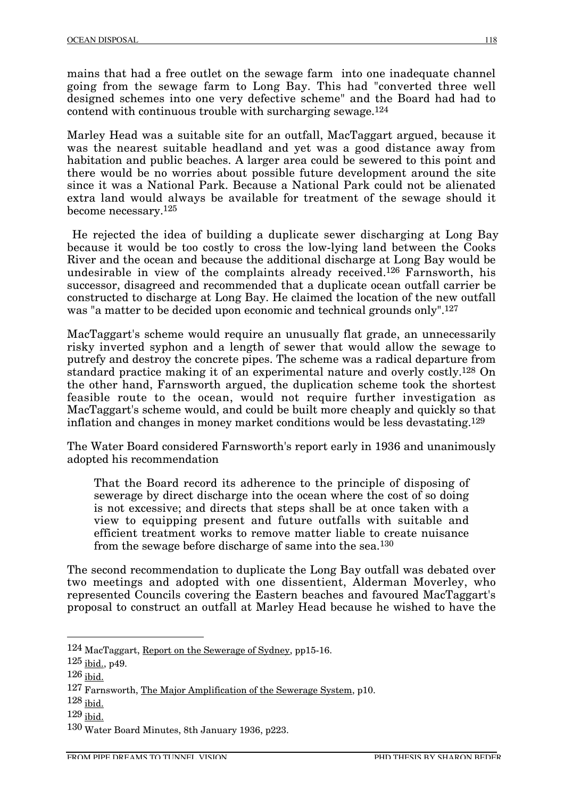mains that had a free outlet on the sewage farm into one inadequate channel going from the sewage farm to Long Bay. This had "converted three well designed schemes into one very defective scheme" and the Board had had to contend with continuous trouble with surcharging sewage.124

Marley Head was a suitable site for an outfall, MacTaggart argued, because it was the nearest suitable headland and yet was a good distance away from habitation and public beaches. A larger area could be sewered to this point and there would be no worries about possible future development around the site since it was a National Park. Because a National Park could not be alienated extra land would always be available for treatment of the sewage should it become necessary.125

He rejected the idea of building a duplicate sewer discharging at Long Bay because it would be too costly to cross the low-lying land between the Cooks River and the ocean and because the additional discharge at Long Bay would be undesirable in view of the complaints already received.126 Farnsworth, his successor, disagreed and recommended that a duplicate ocean outfall carrier be constructed to discharge at Long Bay. He claimed the location of the new outfall was "a matter to be decided upon economic and technical grounds only".127

MacTaggart's scheme would require an unusually flat grade, an unnecessarily risky inverted syphon and a length of sewer that would allow the sewage to putrefy and destroy the concrete pipes. The scheme was a radical departure from standard practice making it of an experimental nature and overly costly.128 On the other hand, Farnsworth argued, the duplication scheme took the shortest feasible route to the ocean, would not require further investigation as MacTaggart's scheme would, and could be built more cheaply and quickly so that inflation and changes in money market conditions would be less devastating.129

The Water Board considered Farnsworth's report early in 1936 and unanimously adopted his recommendation

That the Board record its adherence to the principle of disposing of sewerage by direct discharge into the ocean where the cost of so doing is not excessive; and directs that steps shall be at once taken with a view to equipping present and future outfalls with suitable and efficient treatment works to remove matter liable to create nuisance from the sewage before discharge of same into the sea.130

The second recommendation to duplicate the Long Bay outfall was debated over two meetings and adopted with one dissentient, Alderman Moverley, who represented Councils covering the Eastern beaches and favoured MacTaggart's proposal to construct an outfall at Marley Head because he wished to have the

 <sup>124</sup> MacTaggart, Report on the Sewerage of Sydney, pp15-16.

<sup>125</sup> ibid., p49.

<sup>126</sup> ibid.

<sup>127</sup> Farnsworth, The Major Amplification of the Sewerage System, p10.

<sup>128</sup> ibid.

<sup>129</sup> ibid.

<sup>130</sup> Water Board Minutes, 8th January 1936, p223.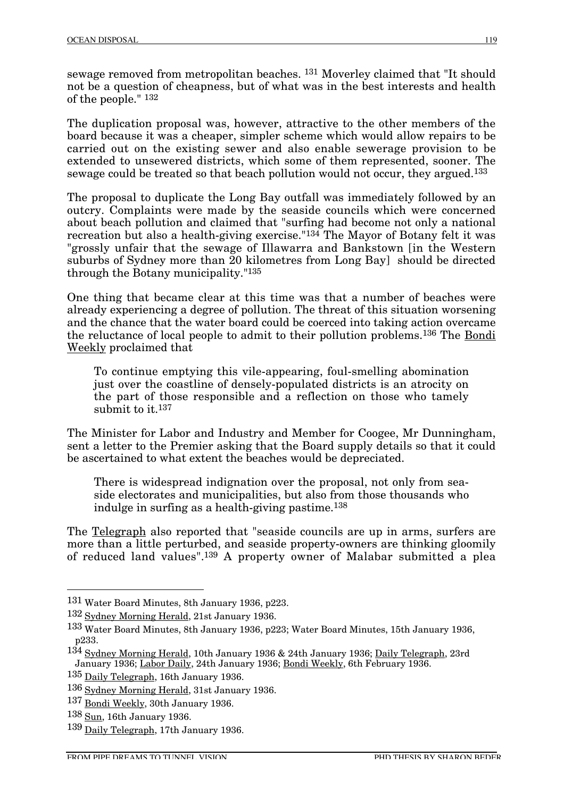sewage removed from metropolitan beaches. 131 Moverley claimed that "It should not be a question of cheapness, but of what was in the best interests and health of the people." 132

The duplication proposal was, however, attractive to the other members of the board because it was a cheaper, simpler scheme which would allow repairs to be carried out on the existing sewer and also enable sewerage provision to be extended to unsewered districts, which some of them represented, sooner. The sewage could be treated so that beach pollution would not occur, they argued.133

The proposal to duplicate the Long Bay outfall was immediately followed by an outcry. Complaints were made by the seaside councils which were concerned about beach pollution and claimed that "surfing had become not only a national recreation but also a health-giving exercise."134 The Mayor of Botany felt it was "grossly unfair that the sewage of Illawarra and Bankstown [in the Western suburbs of Sydney more than 20 kilometres from Long Bay] should be directed through the Botany municipality."135

One thing that became clear at this time was that a number of beaches were already experiencing a degree of pollution. The threat of this situation worsening and the chance that the water board could be coerced into taking action overcame the reluctance of local people to admit to their pollution problems.136 The Bondi Weekly proclaimed that

To continue emptying this vile-appearing, foul-smelling abomination just over the coastline of densely-populated districts is an atrocity on the part of those responsible and a reflection on those who tamely submit to it.<sup>137</sup>

The Minister for Labor and Industry and Member for Coogee, Mr Dunningham, sent a letter to the Premier asking that the Board supply details so that it could be ascertained to what extent the beaches would be depreciated.

There is widespread indignation over the proposal, not only from seaside electorates and municipalities, but also from those thousands who indulge in surfing as a health-giving pastime.138

The Telegraph also reported that "seaside councils are up in arms, surfers are more than a little perturbed, and seaside property-owners are thinking gloomily of reduced land values".139 A property owner of Malabar submitted a plea

 <sup>131</sup> Water Board Minutes, 8th January 1936, p223.

<sup>132</sup> Sydney Morning Herald, 21st January 1936.

<sup>133</sup> Water Board Minutes, 8th January 1936, p223; Water Board Minutes, 15th January 1936, p233.

<sup>134</sup> Sydney Morning Herald, 10th January 1936 & 24th January 1936; Daily Telegraph, 23rd January 1936; Labor Daily, 24th January 1936; Bondi Weekly, 6th February 1936.

<sup>135</sup> Daily Telegraph, 16th January 1936.

<sup>136</sup> Sydney Morning Herald, 31st January 1936.

<sup>137</sup> Bondi Weekly, 30th January 1936.

<sup>138</sup> Sun, 16th January 1936.

<sup>139</sup> Daily Telegraph, 17th January 1936.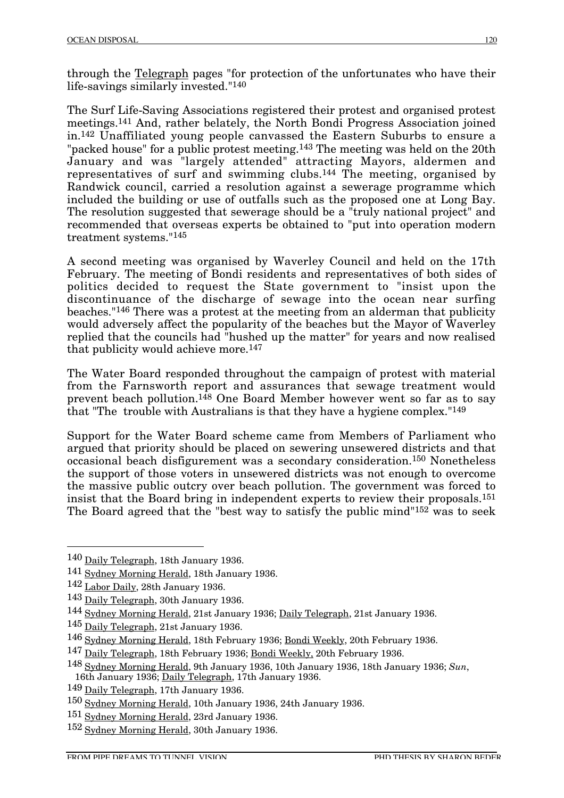through the Telegraph pages "for protection of the unfortunates who have their life-savings similarly invested."140

The Surf Life-Saving Associations registered their protest and organised protest meetings.141 And, rather belately, the North Bondi Progress Association joined in.142 Unaffiliated young people canvassed the Eastern Suburbs to ensure a "packed house" for a public protest meeting.<sup>143</sup> The meeting was held on the 20th January and was "largely attended" attracting Mayors, aldermen and representatives of surf and swimming clubs.<sup>144</sup> The meeting, organised by Randwick council, carried a resolution against a sewerage programme which included the building or use of outfalls such as the proposed one at Long Bay. The resolution suggested that sewerage should be a "truly national project" and recommended that overseas experts be obtained to "put into operation modern treatment systems."145

A second meeting was organised by Waverley Council and held on the 17th February. The meeting of Bondi residents and representatives of both sides of politics decided to request the State government to "insist upon the discontinuance of the discharge of sewage into the ocean near surfing beaches."146 There was a protest at the meeting from an alderman that publicity would adversely affect the popularity of the beaches but the Mayor of Waverley replied that the councils had "hushed up the matter" for years and now realised that publicity would achieve more.147

The Water Board responded throughout the campaign of protest with material from the Farnsworth report and assurances that sewage treatment would prevent beach pollution.148 One Board Member however went so far as to say that "The trouble with Australians is that they have a hygiene complex."149

Support for the Water Board scheme came from Members of Parliament who argued that priority should be placed on sewering unsewered districts and that occasional beach disfigurement was a secondary consideration.150 Nonetheless the support of those voters in unsewered districts was not enough to overcome the massive public outcry over beach pollution. The government was forced to insist that the Board bring in independent experts to review their proposals.151 The Board agreed that the "best way to satisfy the public mind"152 was to seek

 <sup>140</sup> Daily Telegraph, 18th January 1936.

<sup>141</sup> Sydney Morning Herald, 18th January 1936.

<sup>142</sup> Labor Daily, 28th January 1936.

<sup>143</sup> Daily Telegraph, 30th January 1936.

<sup>144</sup> Sydney Morning Herald, 21st January 1936; Daily Telegraph, 21st January 1936.

<sup>145</sup> Daily Telegraph, 21st January 1936.

<sup>146</sup> Sydney Morning Herald, 18th February 1936; Bondi Weekly, 20th February 1936.

<sup>147</sup> Daily Telegraph, 18th February 1936; Bondi Weekly, 20th February 1936.

<sup>148</sup> Sydney Morning Herald, 9th January 1936, 10th January 1936, 18th January 1936; *Sun*, 16th January 1936; Daily Telegraph, 17th January 1936.

<sup>149</sup> Daily Telegraph, 17th January 1936.

<sup>150</sup> Sydney Morning Herald, 10th January 1936, 24th January 1936.

<sup>151</sup> Sydney Morning Herald, 23rd January 1936.

<sup>152</sup> Sydney Morning Herald, 30th January 1936.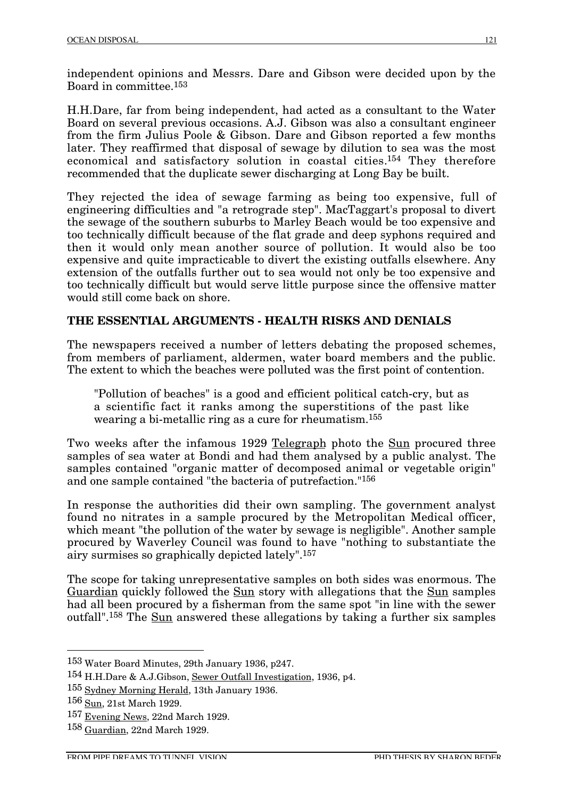independent opinions and Messrs. Dare and Gibson were decided upon by the Board in committee.153

H.H.Dare, far from being independent, had acted as a consultant to the Water Board on several previous occasions. A.J. Gibson was also a consultant engineer from the firm Julius Poole & Gibson. Dare and Gibson reported a few months later. They reaffirmed that disposal of sewage by dilution to sea was the most economical and satisfactory solution in coastal cities.154 They therefore recommended that the duplicate sewer discharging at Long Bay be built.

They rejected the idea of sewage farming as being too expensive, full of engineering difficulties and "a retrograde step". MacTaggart's proposal to divert the sewage of the southern suburbs to Marley Beach would be too expensive and too technically difficult because of the flat grade and deep syphons required and then it would only mean another source of pollution. It would also be too expensive and quite impracticable to divert the existing outfalls elsewhere. Any extension of the outfalls further out to sea would not only be too expensive and too technically difficult but would serve little purpose since the offensive matter would still come back on shore.

#### **THE ESSENTIAL ARGUMENTS - HEALTH RISKS AND DENIALS**

The newspapers received a number of letters debating the proposed schemes, from members of parliament, aldermen, water board members and the public. The extent to which the beaches were polluted was the first point of contention.

"Pollution of beaches" is a good and efficient political catch-cry, but as a scientific fact it ranks among the superstitions of the past like wearing a bi-metallic ring as a cure for rheumatism.155

Two weeks after the infamous 1929 Telegraph photo the Sun procured three samples of sea water at Bondi and had them analysed by a public analyst. The samples contained "organic matter of decomposed animal or vegetable origin" and one sample contained "the bacteria of putrefaction."156

In response the authorities did their own sampling. The government analyst found no nitrates in a sample procured by the Metropolitan Medical officer, which meant "the pollution of the water by sewage is negligible". Another sample procured by Waverley Council was found to have "nothing to substantiate the airy surmises so graphically depicted lately".157

The scope for taking unrepresentative samples on both sides was enormous. The Guardian quickly followed the Sun story with allegations that the Sun samples had all been procured by a fisherman from the same spot "in line with the sewer outfall".158 The Sun answered these allegations by taking a further six samples

 <sup>153</sup> Water Board Minutes, 29th January 1936, p247.

<sup>154</sup> H.H.Dare & A.J.Gibson, Sewer Outfall Investigation, 1936, p4.

<sup>155</sup> Sydney Morning Herald, 13th January 1936.

<sup>156</sup> Sun, 21st March 1929.

<sup>157</sup> Evening News, 22nd March 1929.

<sup>158</sup> Guardian, 22nd March 1929.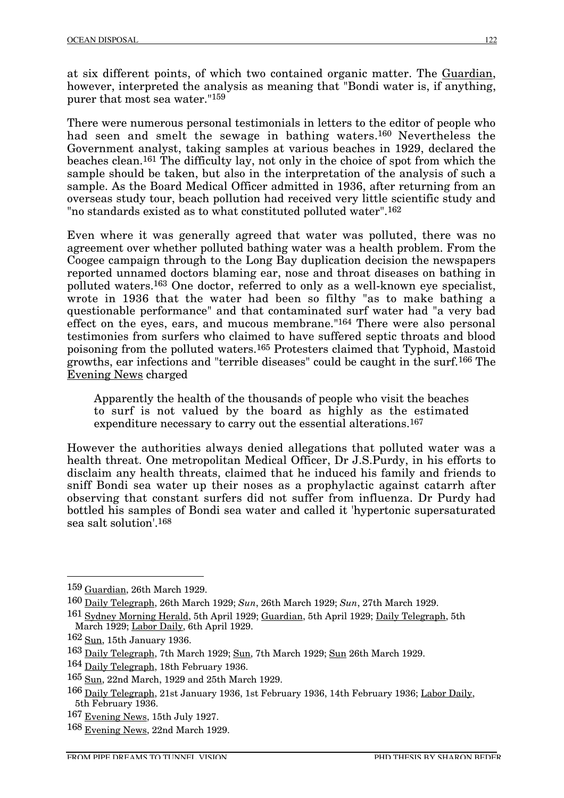at six different points, of which two contained organic matter. The Guardian, however, interpreted the analysis as meaning that "Bondi water is, if anything, purer that most sea water."159

There were numerous personal testimonials in letters to the editor of people who had seen and smelt the sewage in bathing waters.160 Nevertheless the Government analyst, taking samples at various beaches in 1929, declared the beaches clean.161 The difficulty lay, not only in the choice of spot from which the sample should be taken, but also in the interpretation of the analysis of such a sample. As the Board Medical Officer admitted in 1936, after returning from an overseas study tour, beach pollution had received very little scientific study and "no standards existed as to what constituted polluted water".162

Even where it was generally agreed that water was polluted, there was no agreement over whether polluted bathing water was a health problem. From the Coogee campaign through to the Long Bay duplication decision the newspapers reported unnamed doctors blaming ear, nose and throat diseases on bathing in polluted waters.163 One doctor, referred to only as a well-known eye specialist, wrote in 1936 that the water had been so filthy "as to make bathing a questionable performance" and that contaminated surf water had "a very bad effect on the eyes, ears, and mucous membrane."164 There were also personal testimonies from surfers who claimed to have suffered septic throats and blood poisoning from the polluted waters.165 Protesters claimed that Typhoid, Mastoid growths, ear infections and "terrible diseases" could be caught in the surf.166 The Evening News charged

Apparently the health of the thousands of people who visit the beaches to surf is not valued by the board as highly as the estimated expenditure necessary to carry out the essential alterations.167

However the authorities always denied allegations that polluted water was a health threat. One metropolitan Medical Officer, Dr J.S.Purdy, in his efforts to disclaim any health threats, claimed that he induced his family and friends to sniff Bondi sea water up their noses as a prophylactic against catarrh after observing that constant surfers did not suffer from influenza. Dr Purdy had bottled his samples of Bondi sea water and called it 'hypertonic supersaturated sea salt solution'.168

 <sup>159</sup> Guardian, 26th March 1929.

<sup>160</sup> Daily Telegraph, 26th March 1929; *Sun*, 26th March 1929; *Sun*, 27th March 1929.

<sup>161</sup> Sydney Morning Herald, 5th April 1929; Guardian, 5th April 1929; Daily Telegraph, 5th March 1929; Labor Daily, 6th April 1929.

<sup>162</sup> Sun, 15th January 1936.

<sup>163</sup> Daily Telegraph, 7th March 1929; Sun, 7th March 1929; Sun 26th March 1929.

<sup>164</sup> Daily Telegraph, 18th February 1936.

<sup>165</sup> Sun, 22nd March, 1929 and 25th March 1929.

<sup>166</sup> Daily Telegraph, 21st January 1936, 1st February 1936, 14th February 1936; Labor Daily, 5th February 1936.

<sup>167</sup> Evening News, 15th July 1927.

<sup>168</sup> Evening News, 22nd March 1929.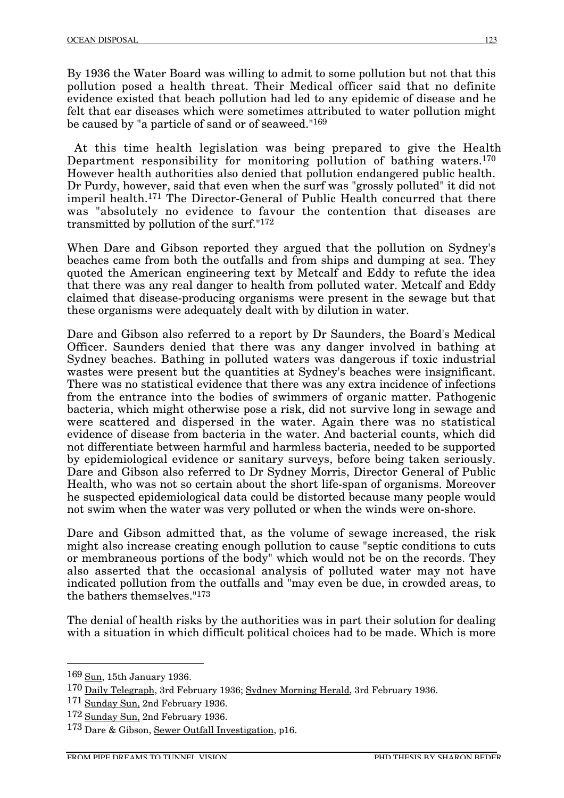By 1936 the Water Board was willing to admit to some pollution but not that this pollution posed a health threat. Their Medical officer said that no definite evidence existed that beach pollution had led to any epidemic of disease and he felt that ear diseases which were sometimes attributed to water pollution might be caused by "a particle of sand or of seaweed."169

At this time health legislation was being prepared to give the Health Department responsibility for monitoring pollution of bathing waters.170 However health authorities also denied that pollution endangered public health. Dr Purdy, however, said that even when the surf was "grossly polluted" it did not imperil health.171 The Director-General of Public Health concurred that there was "absolutely no evidence to favour the contention that diseases are transmitted by pollution of the surf."172

When Dare and Gibson reported they argued that the pollution on Sydney's beaches came from both the outfalls and from ships and dumping at sea. They quoted the American engineering text by Metcalf and Eddy to refute the idea that there was any real danger to health from polluted water. Metcalf and Eddy claimed that disease-producing organisms were present in the sewage but that these organisms were adequately dealt with by dilution in water.

Dare and Gibson also referred to a report by Dr Saunders, the Board's Medical Officer. Saunders denied that there was any danger involved in bathing at Sydney beaches. Bathing in polluted waters was dangerous if toxic industrial wastes were present but the quantities at Sydney's beaches were insignificant. There was no statistical evidence that there was any extra incidence of infections from the entrance into the bodies of swimmers of organic matter. Pathogenic bacteria, which might otherwise pose a risk, did not survive long in sewage and were scattered and dispersed in the water. Again there was no statistical evidence of disease from bacteria in the water. And bacterial counts, which did not differentiate between harmful and harmless bacteria, needed to be supported by epidemiological evidence or sanitary surveys, before being taken seriously. Dare and Gibson also referred to Dr Sydney Morris, Director General of Public Health, who was not so certain about the short life-span of organisms. Moreover he suspected epidemiological data could be distorted because many people would not swim when the water was very polluted or when the winds were on-shore.

Dare and Gibson admitted that, as the volume of sewage increased, the risk might also increase creating enough pollution to cause "septic conditions to cuts or membraneous portions of the body" which would not be on the records. They also asserted that the occasional analysis of polluted water may not have indicated pollution from the outfalls and "may even be due, in crowded areas, to the bathers themselves."173

The denial of health risks by the authorities was in part their solution for dealing with a situation in which difficult political choices had to be made. Which is more

 <sup>169</sup> Sun, 15th January 1936.

<sup>170</sup> Daily Telegraph, 3rd February 1936; Sydney Morning Herald, 3rd February 1936.

<sup>171</sup> Sunday Sun, 2nd February 1936.

<sup>172</sup> Sunday Sun, 2nd February 1936.

<sup>173</sup> Dare & Gibson, Sewer Outfall Investigation, p16.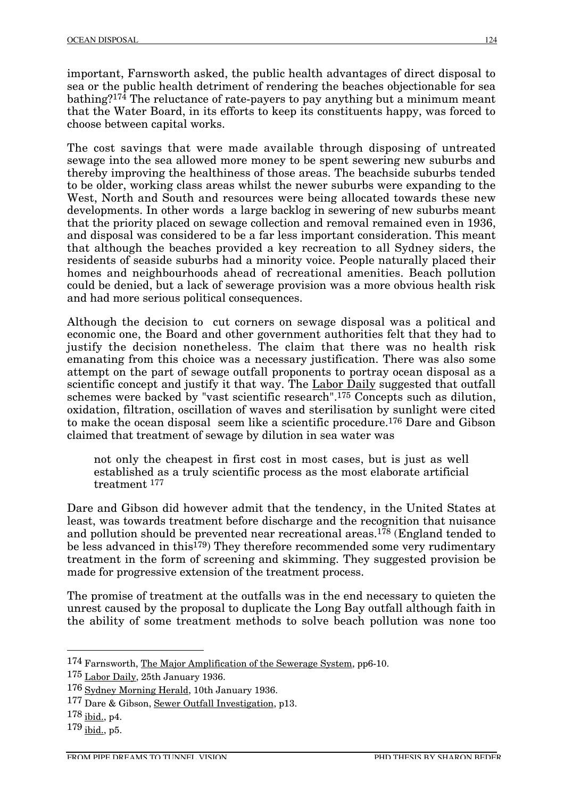important, Farnsworth asked, the public health advantages of direct disposal to sea or the public health detriment of rendering the beaches objectionable for sea bathing?174 The reluctance of rate-payers to pay anything but a minimum meant that the Water Board, in its efforts to keep its constituents happy, was forced to choose between capital works.

The cost savings that were made available through disposing of untreated sewage into the sea allowed more money to be spent sewering new suburbs and thereby improving the healthiness of those areas. The beachside suburbs tended to be older, working class areas whilst the newer suburbs were expanding to the West, North and South and resources were being allocated towards these new developments. In other words a large backlog in sewering of new suburbs meant that the priority placed on sewage collection and removal remained even in 1936, and disposal was considered to be a far less important consideration. This meant that although the beaches provided a key recreation to all Sydney siders, the residents of seaside suburbs had a minority voice. People naturally placed their homes and neighbourhoods ahead of recreational amenities. Beach pollution could be denied, but a lack of sewerage provision was a more obvious health risk and had more serious political consequences.

Although the decision to cut corners on sewage disposal was a political and economic one, the Board and other government authorities felt that they had to justify the decision nonetheless. The claim that there was no health risk emanating from this choice was a necessary justification. There was also some attempt on the part of sewage outfall proponents to portray ocean disposal as a scientific concept and justify it that way. The Labor Daily suggested that outfall schemes were backed by "vast scientific research".175 Concepts such as dilution, oxidation, filtration, oscillation of waves and sterilisation by sunlight were cited to make the ocean disposal seem like a scientific procedure.176 Dare and Gibson claimed that treatment of sewage by dilution in sea water was

not only the cheapest in first cost in most cases, but is just as well established as a truly scientific process as the most elaborate artificial treatment 177

Dare and Gibson did however admit that the tendency, in the United States at least, was towards treatment before discharge and the recognition that nuisance and pollution should be prevented near recreational areas.178 (England tended to be less advanced in this<sup>179</sup>) They therefore recommended some very rudimentary treatment in the form of screening and skimming. They suggested provision be made for progressive extension of the treatment process.

The promise of treatment at the outfalls was in the end necessary to quieten the unrest caused by the proposal to duplicate the Long Bay outfall although faith in the ability of some treatment methods to solve beach pollution was none too

 <sup>174</sup> Farnsworth, The Major Amplification of the Sewerage System, pp6-10.

<sup>175</sup> Labor Daily, 25th January 1936.

<sup>176</sup> Sydney Morning Herald, 10th January 1936.

<sup>177</sup> Dare & Gibson, Sewer Outfall Investigation, p13.

<sup>178</sup> ibid., p4.

<sup>179</sup> ibid., p5.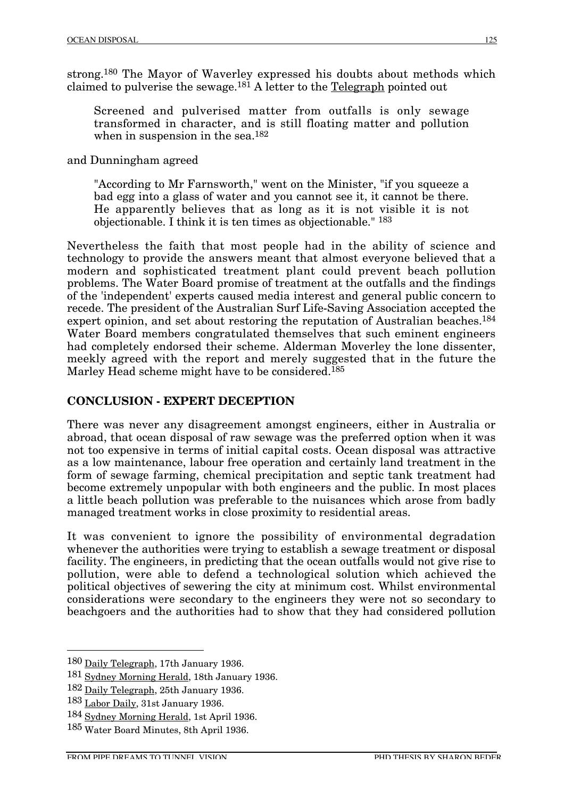strong.180 The Mayor of Waverley expressed his doubts about methods which claimed to pulverise the sewage.181 A letter to the Telegraph pointed out

Screened and pulverised matter from outfalls is only sewage transformed in character, and is still floating matter and pollution when in suspension in the sea.<sup>182</sup>

and Dunningham agreed

"According to Mr Farnsworth," went on the Minister, "if you squeeze a bad egg into a glass of water and you cannot see it, it cannot be there. He apparently believes that as long as it is not visible it is not objectionable. I think it is ten times as objectionable." 183

Nevertheless the faith that most people had in the ability of science and technology to provide the answers meant that almost everyone believed that a modern and sophisticated treatment plant could prevent beach pollution problems. The Water Board promise of treatment at the outfalls and the findings of the 'independent' experts caused media interest and general public concern to recede. The president of the Australian Surf Life-Saving Association accepted the expert opinion, and set about restoring the reputation of Australian beaches.<sup>184</sup> Water Board members congratulated themselves that such eminent engineers had completely endorsed their scheme. Alderman Moverley the lone dissenter, meekly agreed with the report and merely suggested that in the future the Marley Head scheme might have to be considered.185

#### **CONCLUSION - EXPERT DECEPTION**

There was never any disagreement amongst engineers, either in Australia or abroad, that ocean disposal of raw sewage was the preferred option when it was not too expensive in terms of initial capital costs. Ocean disposal was attractive as a low maintenance, labour free operation and certainly land treatment in the form of sewage farming, chemical precipitation and septic tank treatment had become extremely unpopular with both engineers and the public. In most places a little beach pollution was preferable to the nuisances which arose from badly managed treatment works in close proximity to residential areas.

It was convenient to ignore the possibility of environmental degradation whenever the authorities were trying to establish a sewage treatment or disposal facility. The engineers, in predicting that the ocean outfalls would not give rise to pollution, were able to defend a technological solution which achieved the political objectives of sewering the city at minimum cost. Whilst environmental considerations were secondary to the engineers they were not so secondary to beachgoers and the authorities had to show that they had considered pollution

 <sup>180</sup> Daily Telegraph, 17th January 1936.

<sup>181</sup> Sydney Morning Herald, 18th January 1936.

<sup>182</sup> Daily Telegraph, 25th January 1936.

<sup>183</sup> Labor Daily, 31st January 1936.

<sup>184</sup> Sydney Morning Herald, 1st April 1936.

<sup>185</sup> Water Board Minutes, 8th April 1936.